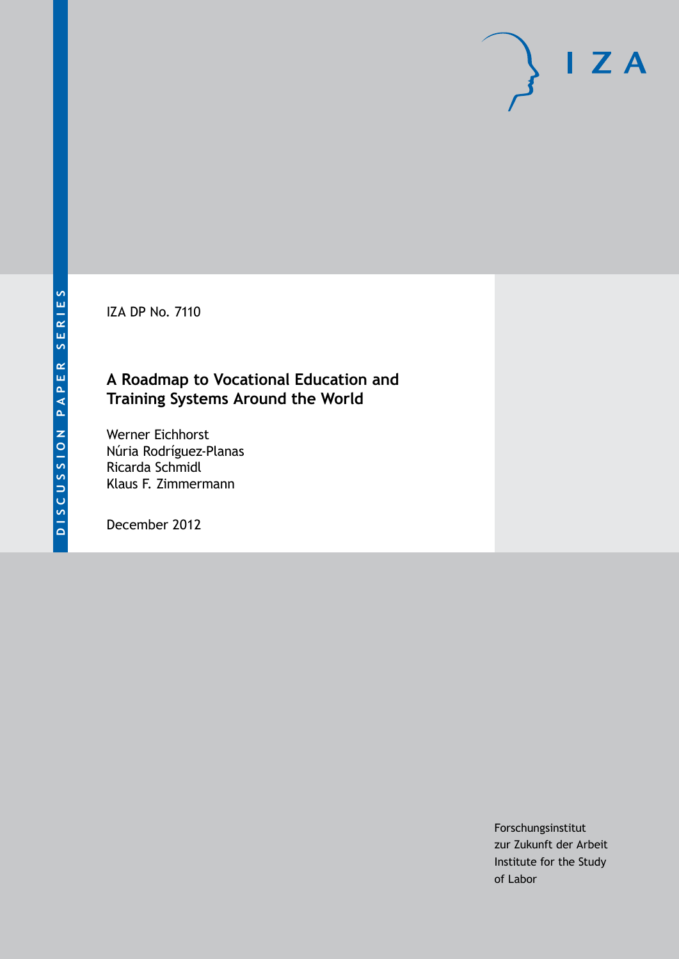IZA DP No. 7110

### **A Roadmap to Vocational Education and Training Systems Around the World**

Werner Eichhorst Núria Rodríguez-Planas Ricarda Schmidl Klaus F. Zimmermann

December 2012

Forschungsinstitut zur Zukunft der Arbeit Institute for the Study of Labor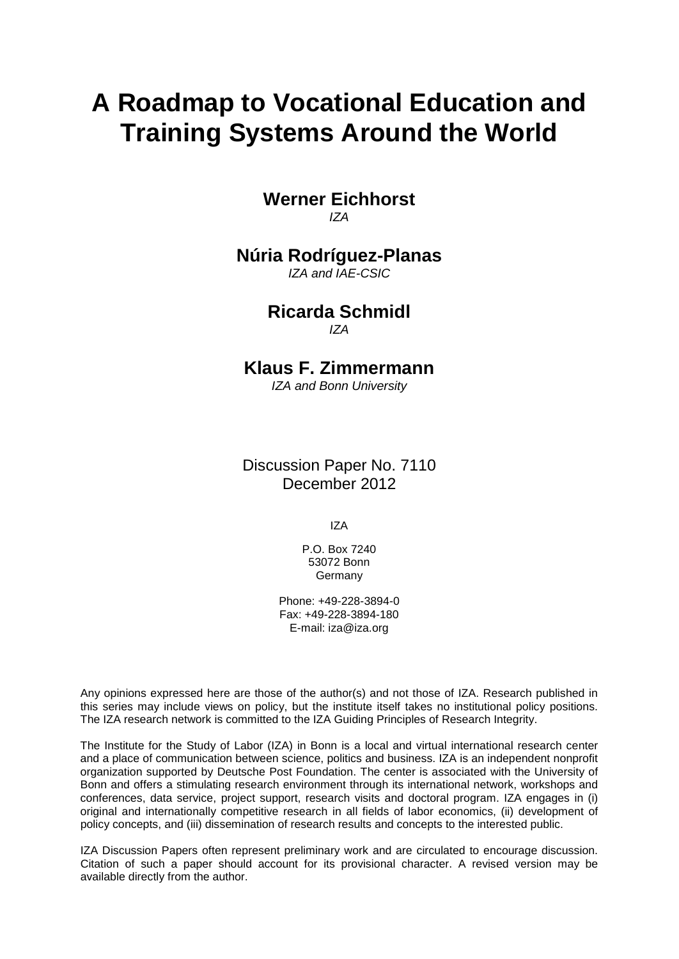# **A Roadmap to Vocational Education and Training Systems Around the World**

**Werner Eichhorst** *IZA*

#### **Núria Rodríguez-Planas**

*IZA and IAE-CSIC*

#### **Ricarda Schmidl** *IZA*

#### **Klaus F. Zimmermann**

*IZA and Bonn University*

Discussion Paper No. 7110 December 2012

IZA

P.O. Box 7240 53072 Bonn Germany

Phone: +49-228-3894-0 Fax: +49-228-3894-180 E-mail: [iza@iza.org](mailto:iza@iza.org)

Any opinions expressed here are those of the author(s) and not those of IZA. Research published in this series may include views on policy, but the institute itself takes no institutional policy positions. The IZA research network is committed to the IZA Guiding Principles of Research Integrity.

The Institute for the Study of Labor (IZA) in Bonn is a local and virtual international research center and a place of communication between science, politics and business. IZA is an independent nonprofit organization supported by Deutsche Post Foundation. The center is associated with the University of Bonn and offers a stimulating research environment through its international network, workshops and conferences, data service, project support, research visits and doctoral program. IZA engages in (i) original and internationally competitive research in all fields of labor economics, (ii) development of policy concepts, and (iii) dissemination of research results and concepts to the interested public.

<span id="page-1-0"></span>IZA Discussion Papers often represent preliminary work and are circulated to encourage discussion. Citation of such a paper should account for its provisional character. A revised version may be available directly from the author.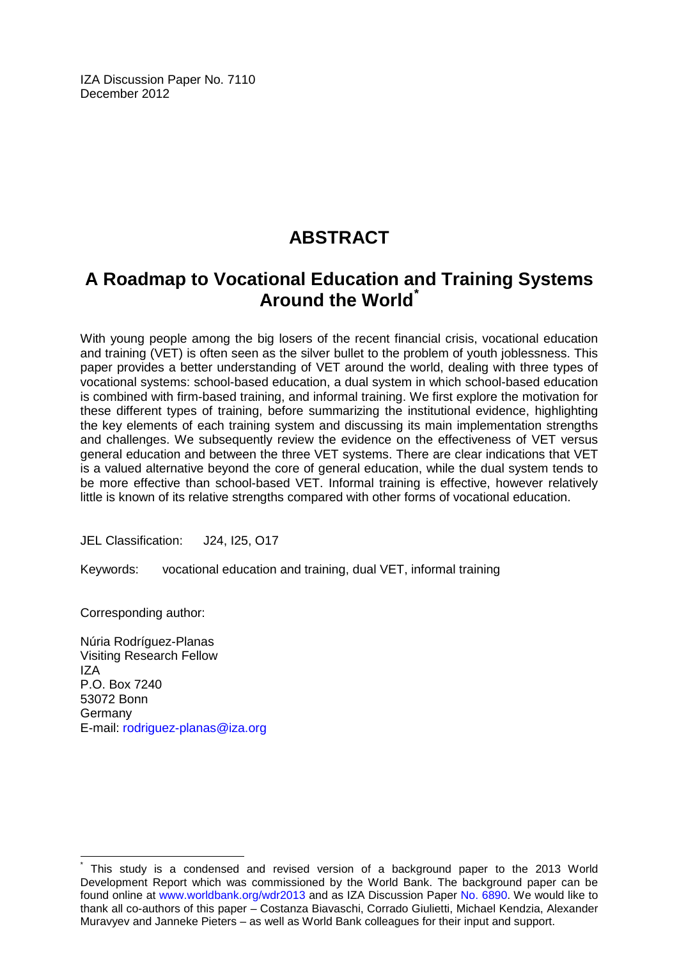IZA Discussion Paper No. 7110 December 2012

# **ABSTRACT**

## **A Roadmap to Vocational Education and Training Systems Around the World[\\*](#page-1-0)**

With young people among the big losers of the recent financial crisis, vocational education and training (VET) is often seen as the silver bullet to the problem of youth joblessness. This paper provides a better understanding of VET around the world, dealing with three types of vocational systems: school-based education, a dual system in which school-based education is combined with firm-based training, and informal training. We first explore the motivation for these different types of training, before summarizing the institutional evidence, highlighting the key elements of each training system and discussing its main implementation strengths and challenges. We subsequently review the evidence on the effectiveness of VET versus general education and between the three VET systems. There are clear indications that VET is a valued alternative beyond the core of general education, while the dual system tends to be more effective than school-based VET. Informal training is effective, however relatively little is known of its relative strengths compared with other forms of vocational education.

JEL Classification: J24, I25, O17

Keywords: vocational education and training, dual VET, informal training

Corresponding author:

Núria Rodríguez-Planas Visiting Research Fellow IZA P.O. Box 7240 53072 Bonn Germany E-mail: [rodriguez-planas@iza.org](mailto:rodriguez-planas@iza.org)

This study is a condensed and revised version of a background paper to the 2013 World Development Report which was commissioned by the World Bank. The background paper can be found online at [www.worldbank.org/wdr2013](http://www.worldbank.org/wdr2013) and as IZA Discussion Paper [No. 6890.](http://ftp.iza.org/dp6890.pdf) We would like to thank all co-authors of this paper – Costanza Biavaschi, Corrado Giulietti, Michael Kendzia, Alexander Muravyev and Janneke Pieters – as well as World Bank colleagues for their input and support.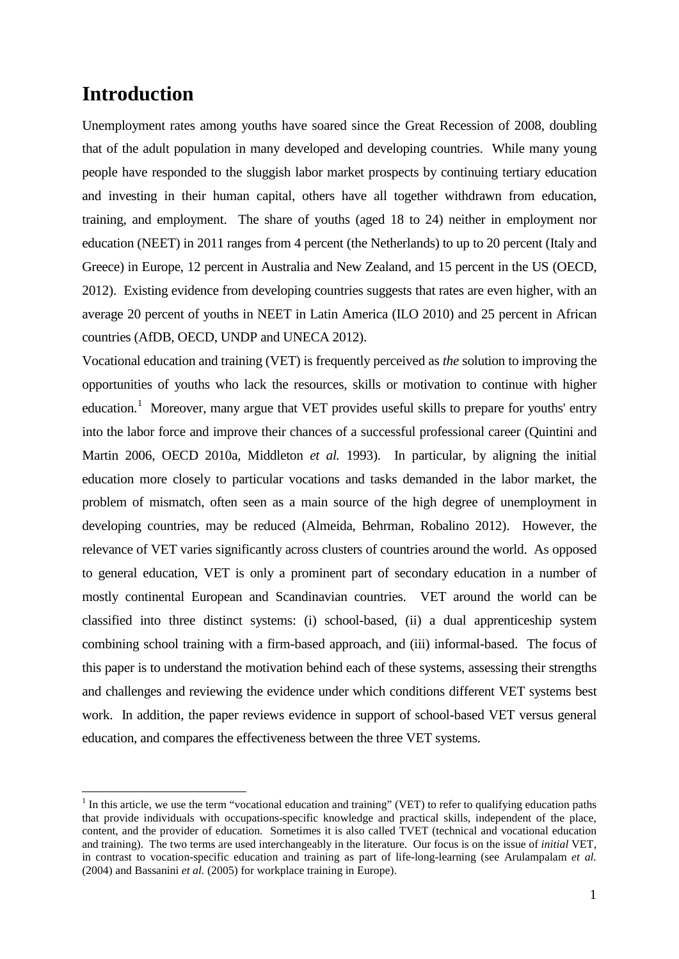### **Introduction**

Unemployment rates among youths have soared since the Great Recession of 2008, doubling that of the adult population in many developed and developing countries. While many young people have responded to the sluggish labor market prospects by continuing tertiary education and investing in their human capital, others have all together withdrawn from education, training, and employment. The share of youths (aged 18 to 24) neither in employment nor education (NEET) in 2011 ranges from 4 percent (the Netherlands) to up to 20 percent (Italy and Greece) in Europe, 12 percent in Australia and New Zealand, and 15 percent in the US (OECD, 2012). Existing evidence from developing countries suggests that rates are even higher, with an average 20 percent of youths in NEET in Latin America (ILO 2010) and 25 percent in African countries (AfDB, OECD, UNDP and UNECA 2012).

Vocational education and training (VET) is frequently perceived as *the* solution to improving the opportunities of youths who lack the resources, skills or motivation to continue with higher education.<sup>1</sup> Moreover, many argue that VET provides useful skills to prepare for youths' entry into the labor force and improve their chances of a successful professional career (Quintini and Martin 2006, OECD 2010a, Middleton *et al.* 1993). In particular, by aligning the initial education more closely to particular vocations and tasks demanded in the labor market, the problem of mismatch, often seen as a main source of the high degree of unemployment in developing countries, may be reduced (Almeida, Behrman, Robalino 2012). However, the relevance of VET varies significantly across clusters of countries around the world. As opposed to general education, VET is only a prominent part of secondary education in a number of mostly continental European and Scandinavian countries. VET around the world can be classified into three distinct systems: (i) school-based, (ii) a dual apprenticeship system combining school training with a firm-based approach, and (iii) informal-based. The focus of this paper is to understand the motivation behind each of these systems, assessing their strengths and challenges and reviewing the evidence under which conditions different VET systems best work. In addition, the paper reviews evidence in support of school-based VET versus general education, and compares the effectiveness between the three VET systems.

 $<sup>1</sup>$  In this article, we use the term "vocational education and training" (VET) to refer to qualifying education paths</sup> that provide individuals with occupations-specific knowledge and practical skills, independent of the place, content, and the provider of education. Sometimes it is also called TVET (technical and vocational education and training). The two terms are used interchangeably in the literature. Our focus is on the issue of *initial* VET, in contrast to vocation-specific education and training as part of life-long-learning (see Arulampalam *et al.* (2004) and Bassanini *et al.* (2005) for workplace training in Europe).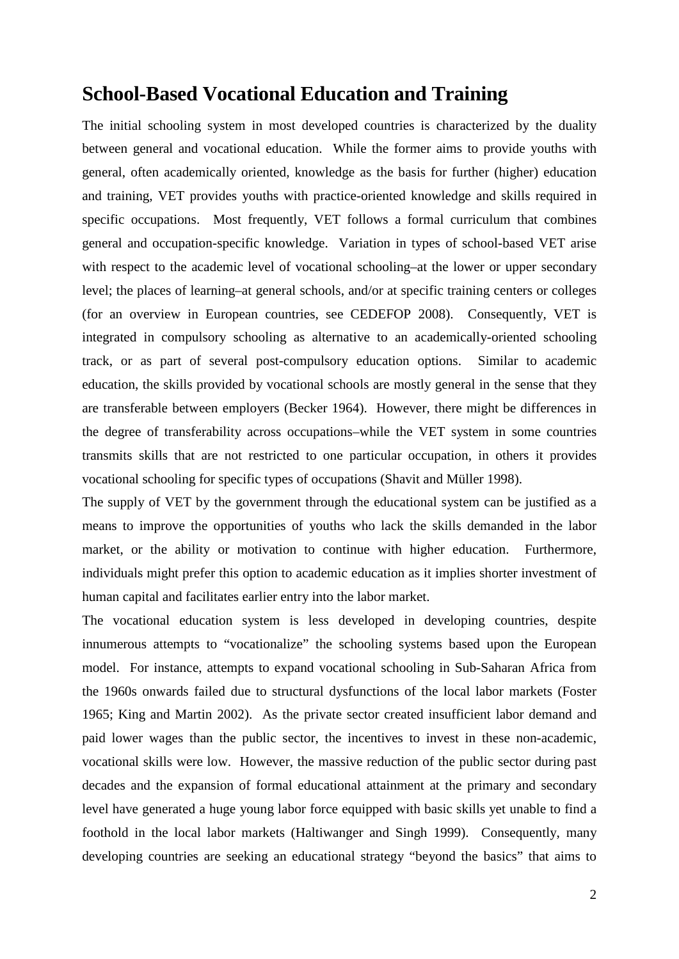### **School-Based Vocational Education and Training**

The initial schooling system in most developed countries is characterized by the duality between general and vocational education. While the former aims to provide youths with general, often academically oriented, knowledge as the basis for further (higher) education and training, VET provides youths with practice-oriented knowledge and skills required in specific occupations. Most frequently, VET follows a formal curriculum that combines general and occupation-specific knowledge. Variation in types of school-based VET arise with respect to the academic level of vocational schooling–at the lower or upper secondary level; the places of learning–at general schools, and/or at specific training centers or colleges (for an overview in European countries, see CEDEFOP 2008). Consequently, VET is integrated in compulsory schooling as alternative to an academically-oriented schooling track, or as part of several post-compulsory education options. Similar to academic education, the skills provided by vocational schools are mostly general in the sense that they are transferable between employers (Becker 1964). However, there might be differences in the degree of transferability across occupations–while the VET system in some countries transmits skills that are not restricted to one particular occupation, in others it provides vocational schooling for specific types of occupations (Shavit and Müller 1998).

The supply of VET by the government through the educational system can be justified as a means to improve the opportunities of youths who lack the skills demanded in the labor market, or the ability or motivation to continue with higher education. Furthermore, individuals might prefer this option to academic education as it implies shorter investment of human capital and facilitates earlier entry into the labor market.

The vocational education system is less developed in developing countries, despite innumerous attempts to "vocationalize" the schooling systems based upon the European model. For instance, attempts to expand vocational schooling in Sub-Saharan Africa from the 1960s onwards failed due to structural dysfunctions of the local labor markets (Foster 1965; King and Martin 2002). As the private sector created insufficient labor demand and paid lower wages than the public sector, the incentives to invest in these non-academic, vocational skills were low. However, the massive reduction of the public sector during past decades and the expansion of formal educational attainment at the primary and secondary level have generated a huge young labor force equipped with basic skills yet unable to find a foothold in the local labor markets (Haltiwanger and Singh 1999). Consequently, many developing countries are seeking an educational strategy "beyond the basics" that aims to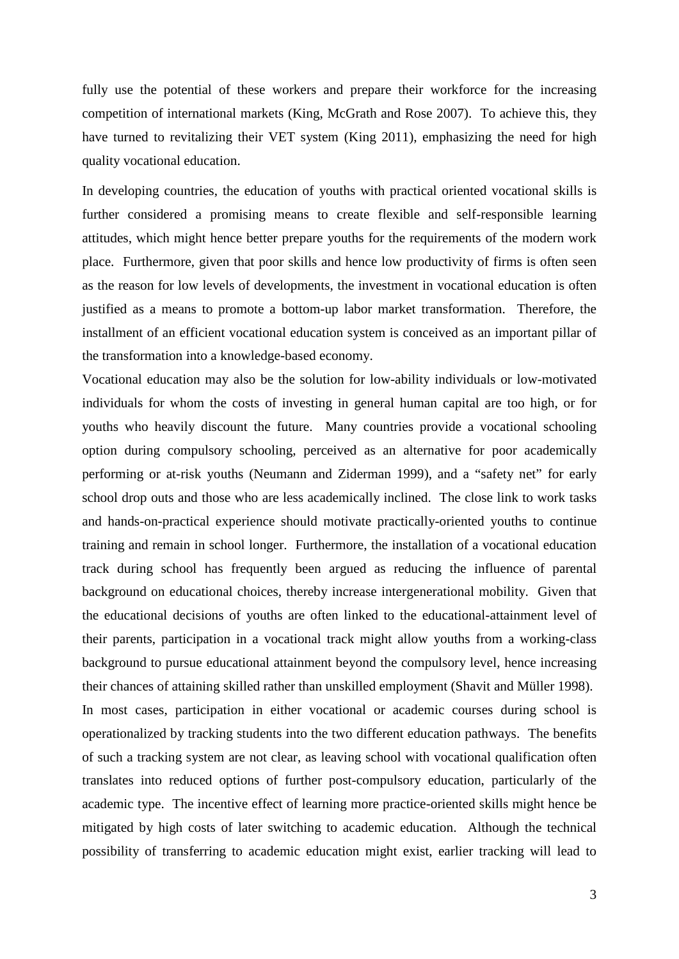fully use the potential of these workers and prepare their workforce for the increasing competition of international markets (King, McGrath and Rose 2007). To achieve this, they have turned to revitalizing their VET system (King 2011), emphasizing the need for high quality vocational education.

In developing countries, the education of youths with practical oriented vocational skills is further considered a promising means to create flexible and self-responsible learning attitudes, which might hence better prepare youths for the requirements of the modern work place. Furthermore, given that poor skills and hence low productivity of firms is often seen as the reason for low levels of developments, the investment in vocational education is often justified as a means to promote a bottom-up labor market transformation. Therefore, the installment of an efficient vocational education system is conceived as an important pillar of the transformation into a knowledge-based economy.

Vocational education may also be the solution for low-ability individuals or low-motivated individuals for whom the costs of investing in general human capital are too high, or for youths who heavily discount the future. Many countries provide a vocational schooling option during compulsory schooling, perceived as an alternative for poor academically performing or at-risk youths (Neumann and Ziderman 1999), and a "safety net" for early school drop outs and those who are less academically inclined. The close link to work tasks and hands-on-practical experience should motivate practically-oriented youths to continue training and remain in school longer. Furthermore, the installation of a vocational education track during school has frequently been argued as reducing the influence of parental background on educational choices, thereby increase intergenerational mobility. Given that the educational decisions of youths are often linked to the educational-attainment level of their parents, participation in a vocational track might allow youths from a working-class background to pursue educational attainment beyond the compulsory level, hence increasing their chances of attaining skilled rather than unskilled employment (Shavit and Müller 1998). In most cases, participation in either vocational or academic courses during school is operationalized by tracking students into the two different education pathways. The benefits of such a tracking system are not clear, as leaving school with vocational qualification often translates into reduced options of further post-compulsory education, particularly of the academic type. The incentive effect of learning more practice-oriented skills might hence be mitigated by high costs of later switching to academic education. Although the technical possibility of transferring to academic education might exist, earlier tracking will lead to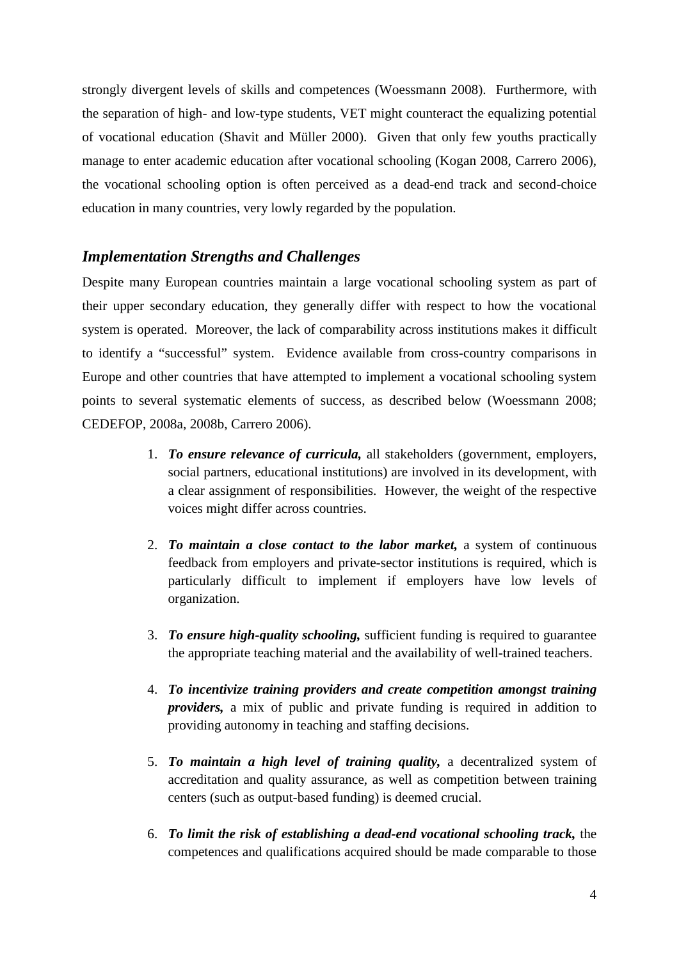strongly divergent levels of skills and competences (Woessmann 2008). Furthermore, with the separation of high- and low-type students, VET might counteract the equalizing potential of vocational education (Shavit and Müller 2000). Given that only few youths practically manage to enter academic education after vocational schooling (Kogan 2008, Carrero 2006), the vocational schooling option is often perceived as a dead-end track and second-choice education in many countries, very lowly regarded by the population.

#### *Implementation Strengths and Challenges*

Despite many European countries maintain a large vocational schooling system as part of their upper secondary education, they generally differ with respect to how the vocational system is operated. Moreover, the lack of comparability across institutions makes it difficult to identify a "successful" system. Evidence available from cross-country comparisons in Europe and other countries that have attempted to implement a vocational schooling system points to several systematic elements of success, as described below (Woessmann 2008; CEDEFOP, 2008a, 2008b, Carrero 2006).

- 1. *To ensure relevance of curricula,* all stakeholders (government, employers, social partners, educational institutions) are involved in its development, with a clear assignment of responsibilities. However, the weight of the respective voices might differ across countries.
- 2. *To maintain a close contact to the labor market,* a system of continuous feedback from employers and private-sector institutions is required, which is particularly difficult to implement if employers have low levels of organization.
- 3. *To ensure high-quality schooling,* sufficient funding is required to guarantee the appropriate teaching material and the availability of well-trained teachers.
- 4. *To incentivize training providers and create competition amongst training providers,* a mix of public and private funding is required in addition to providing autonomy in teaching and staffing decisions.
- 5. *To maintain a high level of training quality,* a decentralized system of accreditation and quality assurance, as well as competition between training centers (such as output-based funding) is deemed crucial.
- 6. *To limit the risk of establishing a dead-end vocational schooling track,* the competences and qualifications acquired should be made comparable to those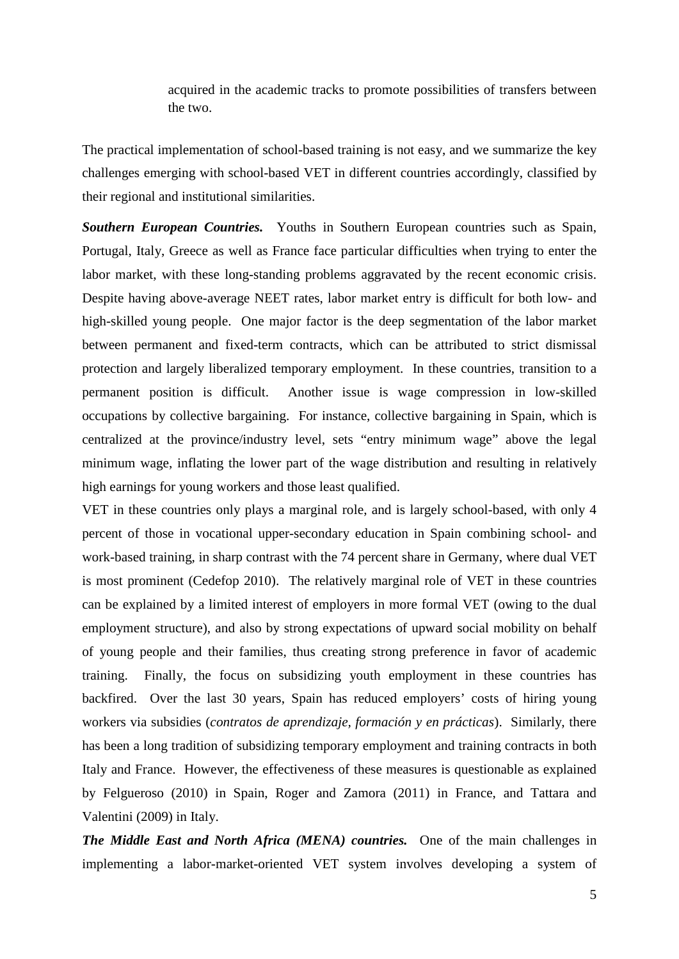acquired in the academic tracks to promote possibilities of transfers between the two.

The practical implementation of school-based training is not easy, and we summarize the key challenges emerging with school-based VET in different countries accordingly, classified by their regional and institutional similarities.

*Southern European Countries.* Youths in Southern European countries such as Spain, Portugal, Italy, Greece as well as France face particular difficulties when trying to enter the labor market, with these long-standing problems aggravated by the recent economic crisis. Despite having above-average NEET rates, labor market entry is difficult for both low- and high-skilled young people. One major factor is the deep segmentation of the labor market between permanent and fixed-term contracts, which can be attributed to strict dismissal protection and largely liberalized temporary employment. In these countries, transition to a permanent position is difficult. Another issue is wage compression in low-skilled occupations by collective bargaining. For instance, collective bargaining in Spain, which is centralized at the province/industry level, sets "entry minimum wage" above the legal minimum wage, inflating the lower part of the wage distribution and resulting in relatively high earnings for young workers and those least qualified.

VET in these countries only plays a marginal role, and is largely school-based, with only 4 percent of those in vocational upper-secondary education in Spain combining school- and work-based training, in sharp contrast with the 74 percent share in Germany, where dual VET is most prominent (Cedefop 2010). The relatively marginal role of VET in these countries can be explained by a limited interest of employers in more formal VET (owing to the dual employment structure), and also by strong expectations of upward social mobility on behalf of young people and their families, thus creating strong preference in favor of academic training. Finally, the focus on subsidizing youth employment in these countries has backfired. Over the last 30 years, Spain has reduced employers' costs of hiring young workers via subsidies (*contratos de aprendizaje, formación y en prácticas*). Similarly, there has been a long tradition of subsidizing temporary employment and training contracts in both Italy and France. However, the effectiveness of these measures is questionable as explained by Felgueroso (2010) in Spain, Roger and Zamora (2011) in France, and Tattara and Valentini (2009) in Italy.

*The Middle East and North Africa (MENA) countries.* One of the main challenges in implementing a labor-market-oriented VET system involves developing a system of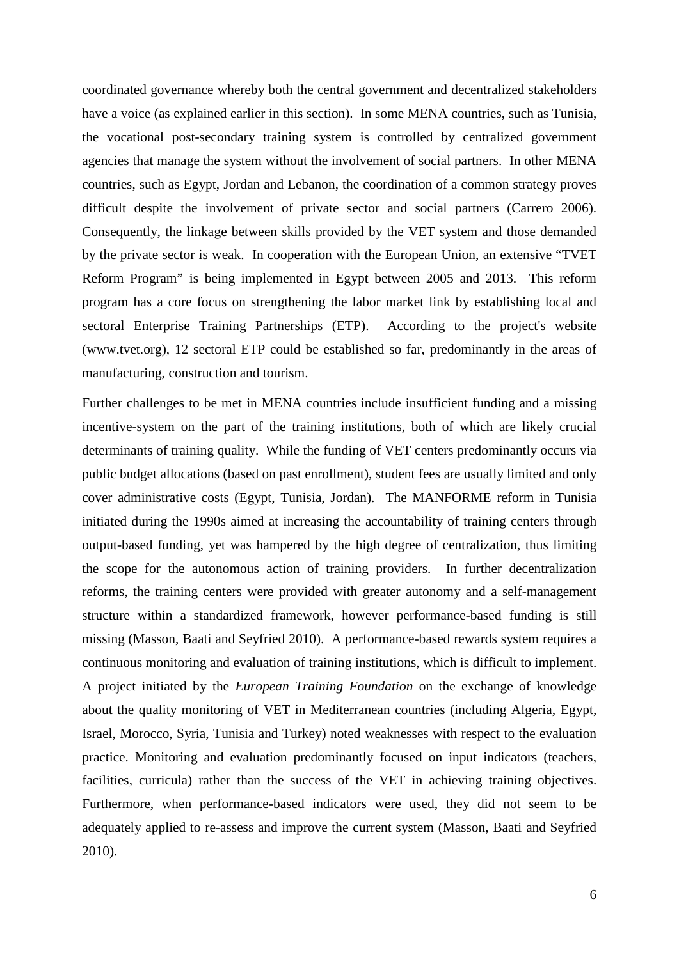coordinated governance whereby both the central government and decentralized stakeholders have a voice (as explained earlier in this section). In some MENA countries, such as Tunisia, the vocational post-secondary training system is controlled by centralized government agencies that manage the system without the involvement of social partners. In other MENA countries, such as Egypt, Jordan and Lebanon, the coordination of a common strategy proves difficult despite the involvement of private sector and social partners (Carrero 2006). Consequently, the linkage between skills provided by the VET system and those demanded by the private sector is weak. In cooperation with the European Union, an extensive "TVET Reform Program" is being implemented in Egypt between 2005 and 2013. This reform program has a core focus on strengthening the labor market link by establishing local and sectoral Enterprise Training Partnerships (ETP). According to the project's website [\(www.tvet.org\)](http://www.tvet.org/), 12 sectoral ETP could be established so far, predominantly in the areas of manufacturing, construction and tourism.

Further challenges to be met in MENA countries include insufficient funding and a missing incentive-system on the part of the training institutions, both of which are likely crucial determinants of training quality. While the funding of VET centers predominantly occurs via public budget allocations (based on past enrollment), student fees are usually limited and only cover administrative costs (Egypt, Tunisia, Jordan). The MANFORME reform in Tunisia initiated during the 1990s aimed at increasing the accountability of training centers through output-based funding, yet was hampered by the high degree of centralization, thus limiting the scope for the autonomous action of training providers. In further decentralization reforms, the training centers were provided with greater autonomy and a self-management structure within a standardized framework, however performance-based funding is still missing (Masson, Baati and Seyfried 2010). A performance-based rewards system requires a continuous monitoring and evaluation of training institutions, which is difficult to implement. A project initiated by the *European Training Foundation* on the exchange of knowledge about the quality monitoring of VET in Mediterranean countries (including Algeria, Egypt, Israel, Morocco, Syria, Tunisia and Turkey) noted weaknesses with respect to the evaluation practice. Monitoring and evaluation predominantly focused on input indicators (teachers, facilities, curricula) rather than the success of the VET in achieving training objectives. Furthermore, when performance-based indicators were used, they did not seem to be adequately applied to re-assess and improve the current system (Masson, Baati and Seyfried 2010).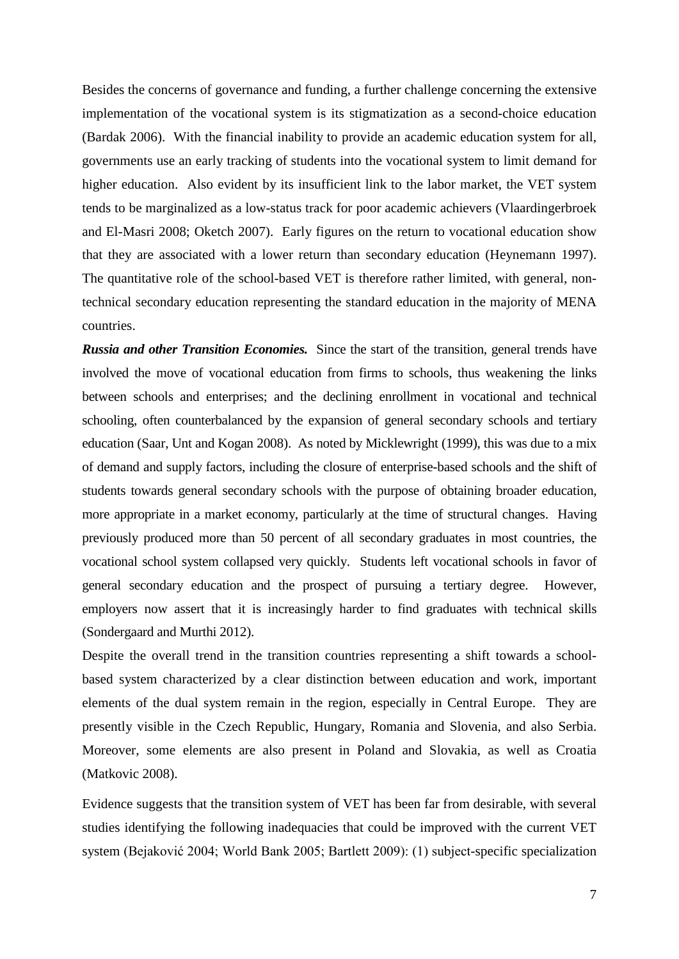Besides the concerns of governance and funding, a further challenge concerning the extensive implementation of the vocational system is its stigmatization as a second-choice education (Bardak 2006). With the financial inability to provide an academic education system for all, governments use an early tracking of students into the vocational system to limit demand for higher education. Also evident by its insufficient link to the labor market, the VET system tends to be marginalized as a low-status track for poor academic achievers (Vlaardingerbroek and El-Masri 2008; Oketch 2007). Early figures on the return to vocational education show that they are associated with a lower return than secondary education (Heynemann 1997). The quantitative role of the school-based VET is therefore rather limited, with general, nontechnical secondary education representing the standard education in the majority of MENA countries.

*Russia and other Transition Economies.* Since the start of the transition, general trends have involved the move of vocational education from firms to schools, thus weakening the links between schools and enterprises; and the declining enrollment in vocational and technical schooling, often counterbalanced by the expansion of general secondary schools and tertiary education (Saar, Unt and Kogan 2008). As noted by Micklewright (1999), this was due to a mix of demand and supply factors, including the closure of enterprise-based schools and the shift of students towards general secondary schools with the purpose of obtaining broader education, more appropriate in a market economy, particularly at the time of structural changes. Having previously produced more than 50 percent of all secondary graduates in most countries, the vocational school system collapsed very quickly. Students left vocational schools in favor of general secondary education and the prospect of pursuing a tertiary degree. However, employers now assert that it is increasingly harder to find graduates with technical skills (Sondergaard and Murthi 2012).

Despite the overall trend in the transition countries representing a shift towards a schoolbased system characterized by a clear distinction between education and work, important elements of the dual system remain in the region, especially in Central Europe. They are presently visible in the Czech Republic, Hungary, Romania and Slovenia, and also Serbia. Moreover, some elements are also present in Poland and Slovakia, as well as Croatia (Matkovic 2008).

Evidence suggests that the transition system of VET has been far from desirable, with several studies identifying the following inadequacies that could be improved with the current VET system (Bejaković 2004; World Bank 2005; Bartlett 2009): (1) subject-specific specialization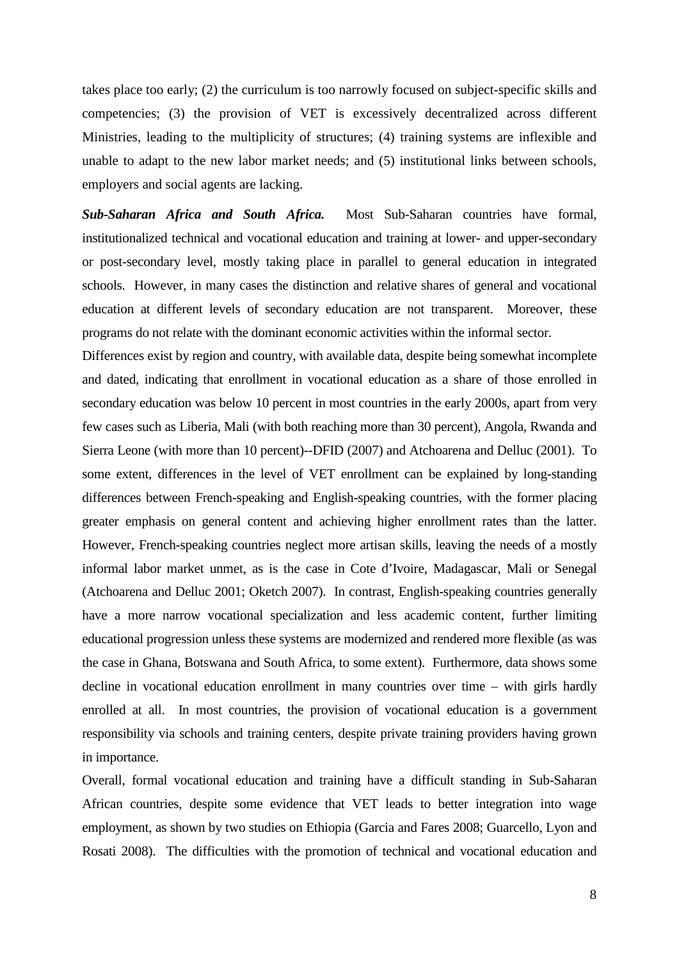takes place too early; (2) the curriculum is too narrowly focused on subject-specific skills and competencies; (3) the provision of VET is excessively decentralized across different Ministries, leading to the multiplicity of structures; (4) training systems are inflexible and unable to adapt to the new labor market needs; and (5) institutional links between schools, employers and social agents are lacking.

*Sub-Saharan Africa and South Africa.* Most Sub-Saharan countries have formal, institutionalized technical and vocational education and training at lower- and upper-secondary or post-secondary level, mostly taking place in parallel to general education in integrated schools. However, in many cases the distinction and relative shares of general and vocational education at different levels of secondary education are not transparent. Moreover, these programs do not relate with the dominant economic activities within the informal sector.

Differences exist by region and country, with available data, despite being somewhat incomplete and dated, indicating that enrollment in vocational education as a share of those enrolled in secondary education was below 10 percent in most countries in the early 2000s, apart from very few cases such as Liberia, Mali (with both reaching more than 30 percent), Angola, Rwanda and Sierra Leone (with more than 10 percent)--DFID (2007) and Atchoarena and Delluc (2001). To some extent, differences in the level of VET enrollment can be explained by long-standing differences between French-speaking and English-speaking countries, with the former placing greater emphasis on general content and achieving higher enrollment rates than the latter. However, French-speaking countries neglect more artisan skills, leaving the needs of a mostly informal labor market unmet, as is the case in Cote d'Ivoire, Madagascar, Mali or Senegal (Atchoarena and Delluc 2001; Oketch 2007). In contrast, English-speaking countries generally have a more narrow vocational specialization and less academic content, further limiting educational progression unless these systems are modernized and rendered more flexible (as was the case in Ghana, Botswana and South Africa, to some extent). Furthermore, data shows some decline in vocational education enrollment in many countries over time – with girls hardly enrolled at all. In most countries, the provision of vocational education is a government responsibility via schools and training centers, despite private training providers having grown in importance.

Overall, formal vocational education and training have a difficult standing in Sub-Saharan African countries, despite some evidence that VET leads to better integration into wage employment, as shown by two studies on Ethiopia (Garcia and Fares 2008; Guarcello, Lyon and Rosati 2008). The difficulties with the promotion of technical and vocational education and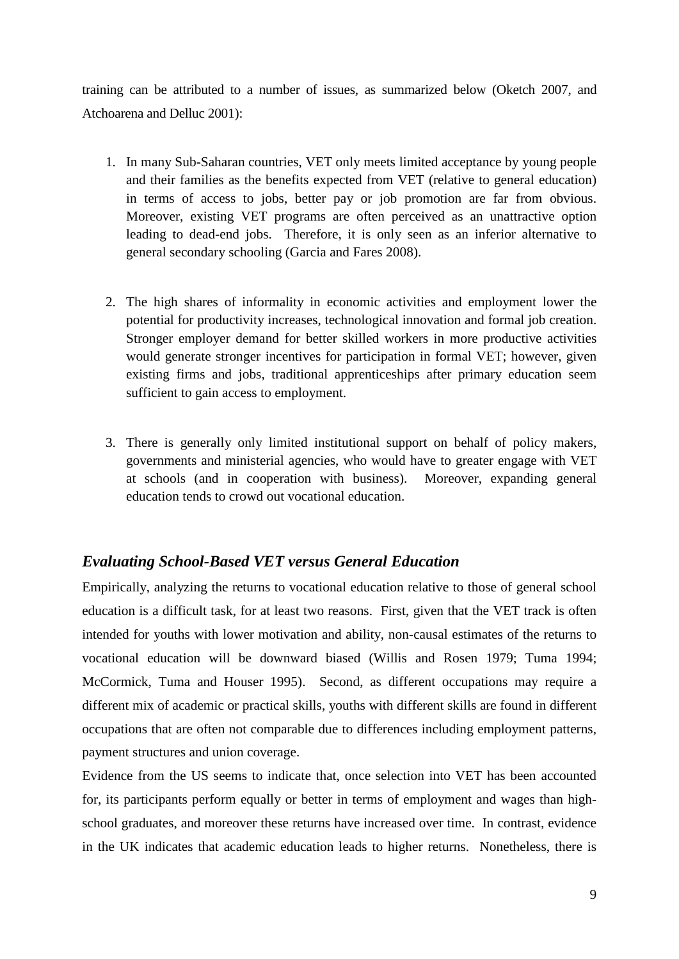training can be attributed to a number of issues, as summarized below (Oketch 2007, and Atchoarena and Delluc 2001):

- 1. In many Sub-Saharan countries, VET only meets limited acceptance by young people and their families as the benefits expected from VET (relative to general education) in terms of access to jobs, better pay or job promotion are far from obvious. Moreover, existing VET programs are often perceived as an unattractive option leading to dead-end jobs. Therefore, it is only seen as an inferior alternative to general secondary schooling (Garcia and Fares 2008).
- 2. The high shares of informality in economic activities and employment lower the potential for productivity increases, technological innovation and formal job creation. Stronger employer demand for better skilled workers in more productive activities would generate stronger incentives for participation in formal VET; however, given existing firms and jobs, traditional apprenticeships after primary education seem sufficient to gain access to employment.
- 3. There is generally only limited institutional support on behalf of policy makers, governments and ministerial agencies, who would have to greater engage with VET at schools (and in cooperation with business). Moreover, expanding general education tends to crowd out vocational education.

#### *Evaluating School-Based VET versus General Education*

Empirically, analyzing the returns to vocational education relative to those of general school education is a difficult task, for at least two reasons. First, given that the VET track is often intended for youths with lower motivation and ability, non-causal estimates of the returns to vocational education will be downward biased (Willis and Rosen 1979; Tuma 1994; McCormick, Tuma and Houser 1995). Second, as different occupations may require a different mix of academic or practical skills, youths with different skills are found in different occupations that are often not comparable due to differences including employment patterns, payment structures and union coverage.

Evidence from the US seems to indicate that, once selection into VET has been accounted for, its participants perform equally or better in terms of employment and wages than highschool graduates, and moreover these returns have increased over time. In contrast, evidence in the UK indicates that academic education leads to higher returns. Nonetheless, there is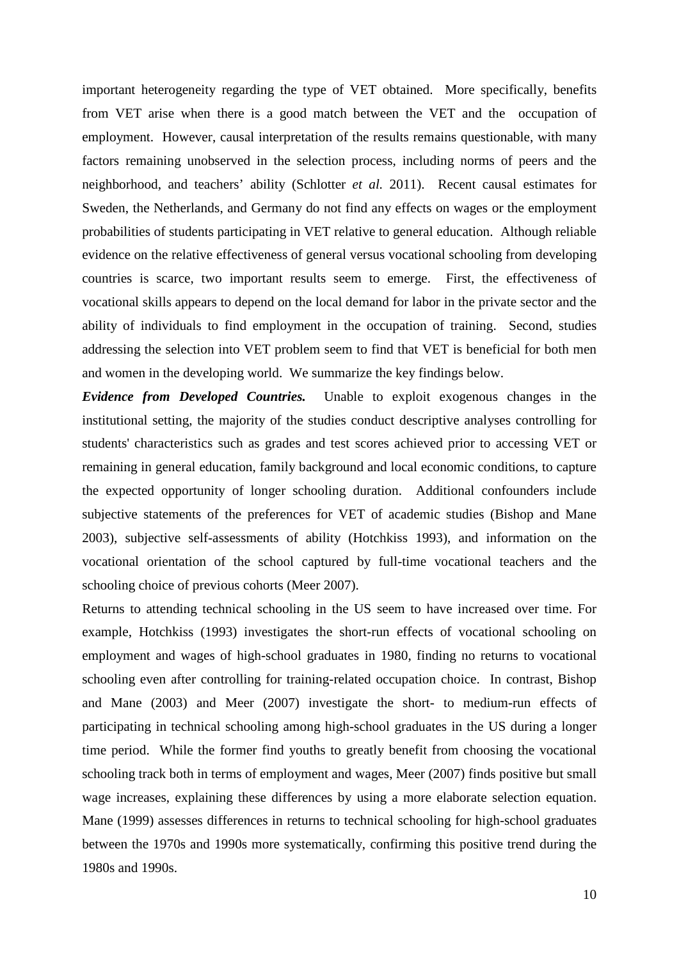important heterogeneity regarding the type of VET obtained. More specifically, benefits from VET arise when there is a good match between the VET and the occupation of employment. However, causal interpretation of the results remains questionable, with many factors remaining unobserved in the selection process, including norms of peers and the neighborhood, and teachers' ability (Schlotter *et al.* 2011). Recent causal estimates for Sweden, the Netherlands, and Germany do not find any effects on wages or the employment probabilities of students participating in VET relative to general education. Although reliable evidence on the relative effectiveness of general versus vocational schooling from developing countries is scarce, two important results seem to emerge. First, the effectiveness of vocational skills appears to depend on the local demand for labor in the private sector and the ability of individuals to find employment in the occupation of training. Second, studies addressing the selection into VET problem seem to find that VET is beneficial for both men and women in the developing world. We summarize the key findings below.

*Evidence from Developed Countries.* Unable to exploit exogenous changes in the institutional setting, the majority of the studies conduct descriptive analyses controlling for students' characteristics such as grades and test scores achieved prior to accessing VET or remaining in general education, family background and local economic conditions, to capture the expected opportunity of longer schooling duration. Additional confounders include subjective statements of the preferences for VET of academic studies (Bishop and Mane 2003), subjective self-assessments of ability (Hotchkiss 1993), and information on the vocational orientation of the school captured by full-time vocational teachers and the schooling choice of previous cohorts (Meer 2007).

Returns to attending technical schooling in the US seem to have increased over time. For example, Hotchkiss (1993) investigates the short-run effects of vocational schooling on employment and wages of high-school graduates in 1980, finding no returns to vocational schooling even after controlling for training-related occupation choice. In contrast, Bishop and Mane (2003) and Meer (2007) investigate the short- to medium-run effects of participating in technical schooling among high-school graduates in the US during a longer time period. While the former find youths to greatly benefit from choosing the vocational schooling track both in terms of employment and wages, Meer (2007) finds positive but small wage increases, explaining these differences by using a more elaborate selection equation. Mane (1999) assesses differences in returns to technical schooling for high-school graduates between the 1970s and 1990s more systematically, confirming this positive trend during the 1980s and 1990s.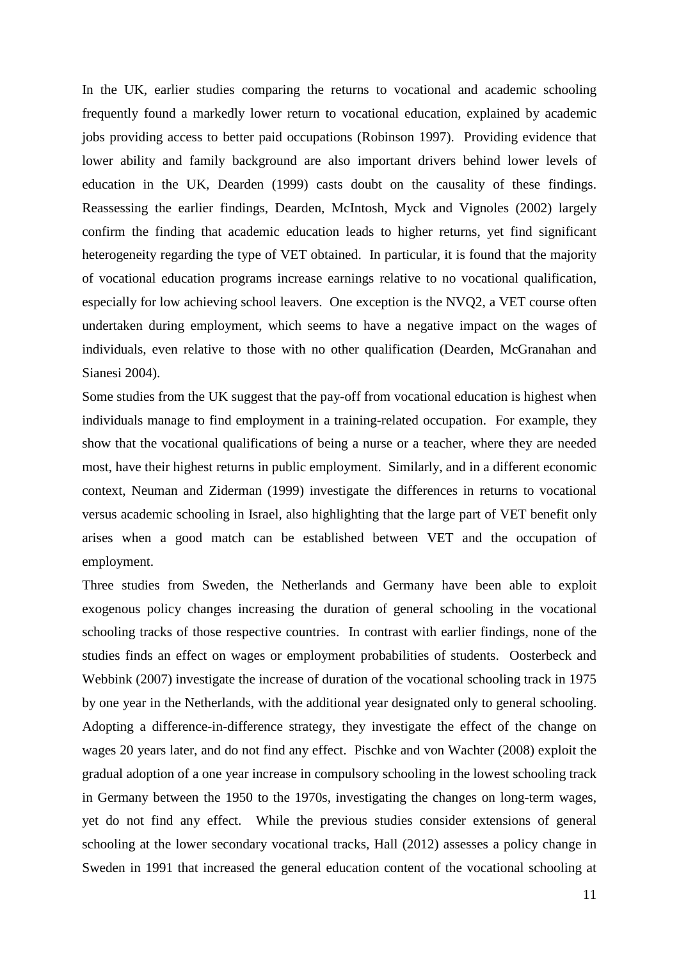In the UK, earlier studies comparing the returns to vocational and academic schooling frequently found a markedly lower return to vocational education, explained by academic jobs providing access to better paid occupations (Robinson 1997). Providing evidence that lower ability and family background are also important drivers behind lower levels of education in the UK, Dearden (1999) casts doubt on the causality of these findings. Reassessing the earlier findings, Dearden, McIntosh, Myck and Vignoles (2002) largely confirm the finding that academic education leads to higher returns, yet find significant heterogeneity regarding the type of VET obtained. In particular, it is found that the majority of vocational education programs increase earnings relative to no vocational qualification, especially for low achieving school leavers. One exception is the NVQ2, a VET course often undertaken during employment, which seems to have a negative impact on the wages of individuals, even relative to those with no other qualification (Dearden, McGranahan and Sianesi 2004).

Some studies from the UK suggest that the pay-off from vocational education is highest when individuals manage to find employment in a training-related occupation. For example, they show that the vocational qualifications of being a nurse or a teacher, where they are needed most, have their highest returns in public employment. Similarly, and in a different economic context, Neuman and Ziderman (1999) investigate the differences in returns to vocational versus academic schooling in Israel, also highlighting that the large part of VET benefit only arises when a good match can be established between VET and the occupation of employment.

Three studies from Sweden, the Netherlands and Germany have been able to exploit exogenous policy changes increasing the duration of general schooling in the vocational schooling tracks of those respective countries. In contrast with earlier findings, none of the studies finds an effect on wages or employment probabilities of students. Oosterbeck and Webbink (2007) investigate the increase of duration of the vocational schooling track in 1975 by one year in the Netherlands, with the additional year designated only to general schooling. Adopting a difference-in-difference strategy, they investigate the effect of the change on wages 20 years later, and do not find any effect. Pischke and von Wachter (2008) exploit the gradual adoption of a one year increase in compulsory schooling in the lowest schooling track in Germany between the 1950 to the 1970s, investigating the changes on long-term wages, yet do not find any effect. While the previous studies consider extensions of general schooling at the lower secondary vocational tracks, Hall (2012) assesses a policy change in Sweden in 1991 that increased the general education content of the vocational schooling at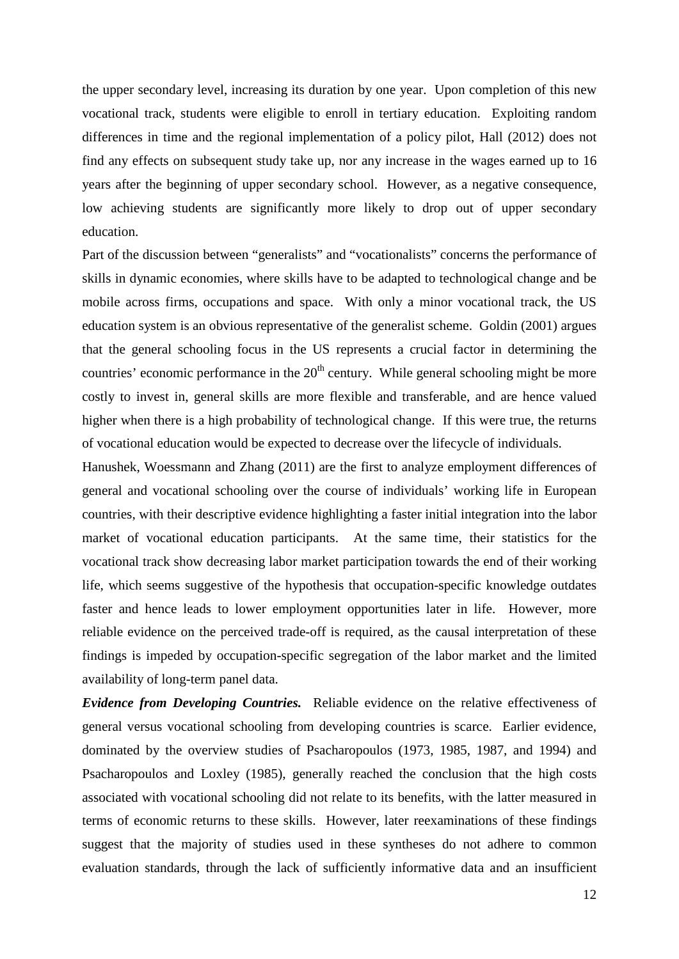the upper secondary level, increasing its duration by one year. Upon completion of this new vocational track, students were eligible to enroll in tertiary education. Exploiting random differences in time and the regional implementation of a policy pilot, Hall (2012) does not find any effects on subsequent study take up, nor any increase in the wages earned up to 16 years after the beginning of upper secondary school. However, as a negative consequence, low achieving students are significantly more likely to drop out of upper secondary education.

Part of the discussion between "generalists" and "vocationalists" concerns the performance of skills in dynamic economies, where skills have to be adapted to technological change and be mobile across firms, occupations and space. With only a minor vocational track, the US education system is an obvious representative of the generalist scheme. Goldin (2001) argues that the general schooling focus in the US represents a crucial factor in determining the countries' economic performance in the  $20<sup>th</sup>$  century. While general schooling might be more costly to invest in, general skills are more flexible and transferable, and are hence valued higher when there is a high probability of technological change. If this were true, the returns of vocational education would be expected to decrease over the lifecycle of individuals.

Hanushek, Woessmann and Zhang (2011) are the first to analyze employment differences of general and vocational schooling over the course of individuals' working life in European countries, with their descriptive evidence highlighting a faster initial integration into the labor market of vocational education participants. At the same time, their statistics for the vocational track show decreasing labor market participation towards the end of their working life, which seems suggestive of the hypothesis that occupation-specific knowledge outdates faster and hence leads to lower employment opportunities later in life. However, more reliable evidence on the perceived trade-off is required, as the causal interpretation of these findings is impeded by occupation-specific segregation of the labor market and the limited availability of long-term panel data.

*Evidence from Developing Countries.* Reliable evidence on the relative effectiveness of general versus vocational schooling from developing countries is scarce. Earlier evidence, dominated by the overview studies of Psacharopoulos (1973, 1985, 1987, and 1994) and Psacharopoulos and Loxley (1985), generally reached the conclusion that the high costs associated with vocational schooling did not relate to its benefits, with the latter measured in terms of economic returns to these skills. However, later reexaminations of these findings suggest that the majority of studies used in these syntheses do not adhere to common evaluation standards, through the lack of sufficiently informative data and an insufficient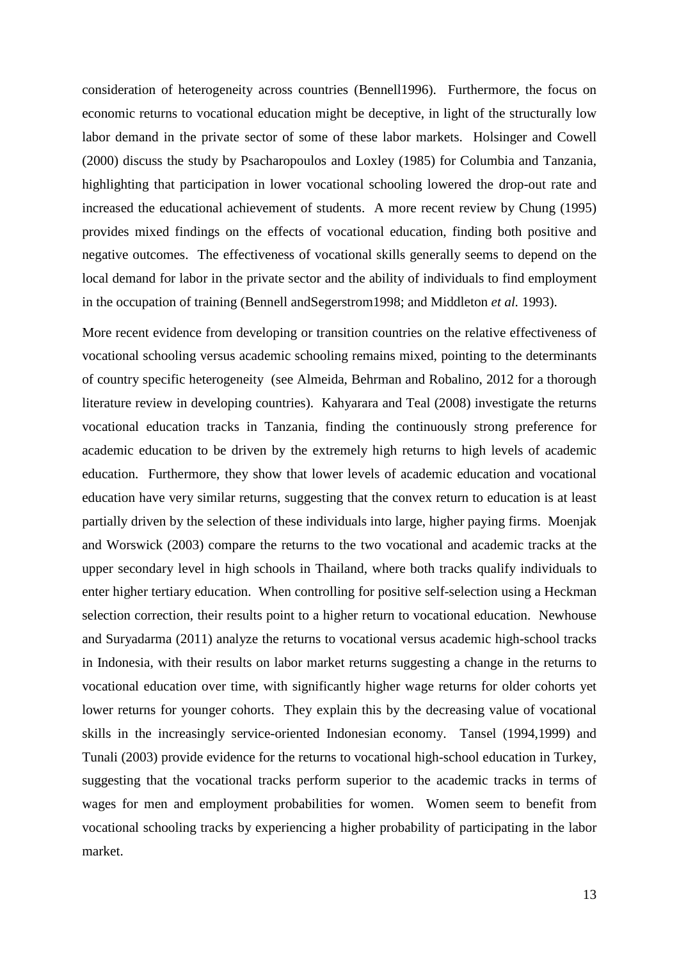consideration of heterogeneity across countries (Bennell1996). Furthermore, the focus on economic returns to vocational education might be deceptive, in light of the structurally low labor demand in the private sector of some of these labor markets. Holsinger and Cowell (2000) discuss the study by Psacharopoulos and Loxley (1985) for Columbia and Tanzania, highlighting that participation in lower vocational schooling lowered the drop-out rate and increased the educational achievement of students. A more recent review by Chung (1995) provides mixed findings on the effects of vocational education, finding both positive and negative outcomes. The effectiveness of vocational skills generally seems to depend on the local demand for labor in the private sector and the ability of individuals to find employment in the occupation of training (Bennell andSegerstrom1998; and Middleton *et al.* 1993).

More recent evidence from developing or transition countries on the relative effectiveness of vocational schooling versus academic schooling remains mixed, pointing to the determinants of country specific heterogeneity (see Almeida, Behrman and Robalino, 2012 for a thorough literature review in developing countries). Kahyarara and Teal (2008) investigate the returns vocational education tracks in Tanzania, finding the continuously strong preference for academic education to be driven by the extremely high returns to high levels of academic education. Furthermore, they show that lower levels of academic education and vocational education have very similar returns, suggesting that the convex return to education is at least partially driven by the selection of these individuals into large, higher paying firms. Moenjak and Worswick (2003) compare the returns to the two vocational and academic tracks at the upper secondary level in high schools in Thailand, where both tracks qualify individuals to enter higher tertiary education. When controlling for positive self-selection using a Heckman selection correction, their results point to a higher return to vocational education. Newhouse and Suryadarma (2011) analyze the returns to vocational versus academic high-school tracks in Indonesia, with their results on labor market returns suggesting a change in the returns to vocational education over time, with significantly higher wage returns for older cohorts yet lower returns for younger cohorts. They explain this by the decreasing value of vocational skills in the increasingly service-oriented Indonesian economy. Tansel (1994,1999) and Tunali (2003) provide evidence for the returns to vocational high-school education in Turkey, suggesting that the vocational tracks perform superior to the academic tracks in terms of wages for men and employment probabilities for women. Women seem to benefit from vocational schooling tracks by experiencing a higher probability of participating in the labor market.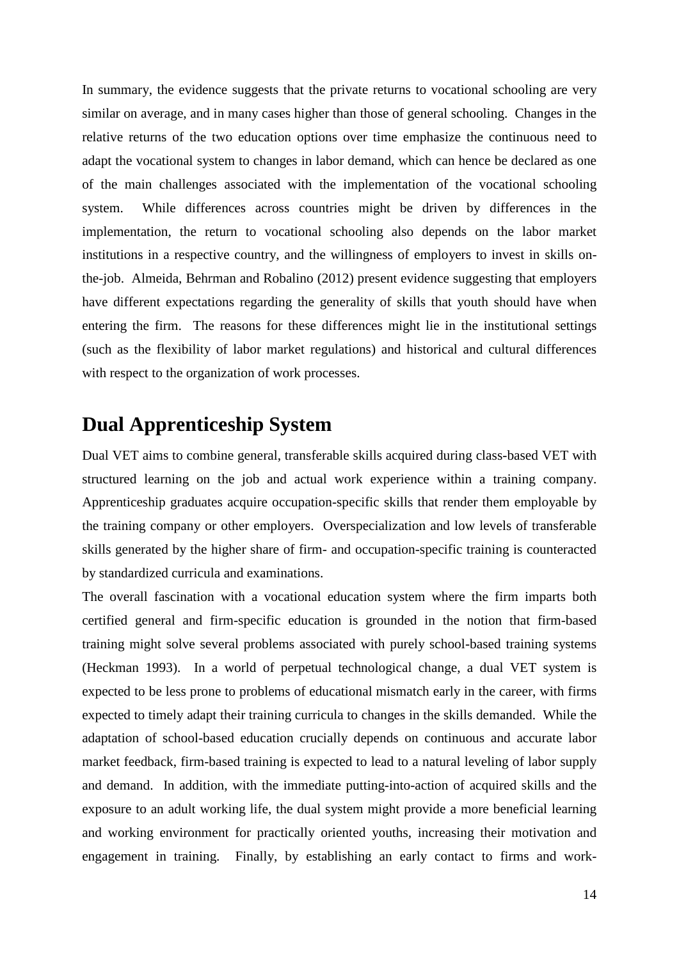In summary, the evidence suggests that the private returns to vocational schooling are very similar on average, and in many cases higher than those of general schooling. Changes in the relative returns of the two education options over time emphasize the continuous need to adapt the vocational system to changes in labor demand, which can hence be declared as one of the main challenges associated with the implementation of the vocational schooling system. While differences across countries might be driven by differences in the implementation, the return to vocational schooling also depends on the labor market institutions in a respective country, and the willingness of employers to invest in skills onthe-job. Almeida, Behrman and Robalino (2012) present evidence suggesting that employers have different expectations regarding the generality of skills that youth should have when entering the firm. The reasons for these differences might lie in the institutional settings (such as the flexibility of labor market regulations) and historical and cultural differences with respect to the organization of work processes.

# **Dual Apprenticeship System**

Dual VET aims to combine general, transferable skills acquired during class-based VET with structured learning on the job and actual work experience within a training company. Apprenticeship graduates acquire occupation-specific skills that render them employable by the training company or other employers. Overspecialization and low levels of transferable skills generated by the higher share of firm- and occupation-specific training is counteracted by standardized curricula and examinations.

The overall fascination with a vocational education system where the firm imparts both certified general and firm-specific education is grounded in the notion that firm-based training might solve several problems associated with purely school-based training systems (Heckman 1993). In a world of perpetual technological change, a dual VET system is expected to be less prone to problems of educational mismatch early in the career, with firms expected to timely adapt their training curricula to changes in the skills demanded. While the adaptation of school-based education crucially depends on continuous and accurate labor market feedback, firm-based training is expected to lead to a natural leveling of labor supply and demand. In addition, with the immediate putting-into-action of acquired skills and the exposure to an adult working life, the dual system might provide a more beneficial learning and working environment for practically oriented youths, increasing their motivation and engagement in training. Finally, by establishing an early contact to firms and work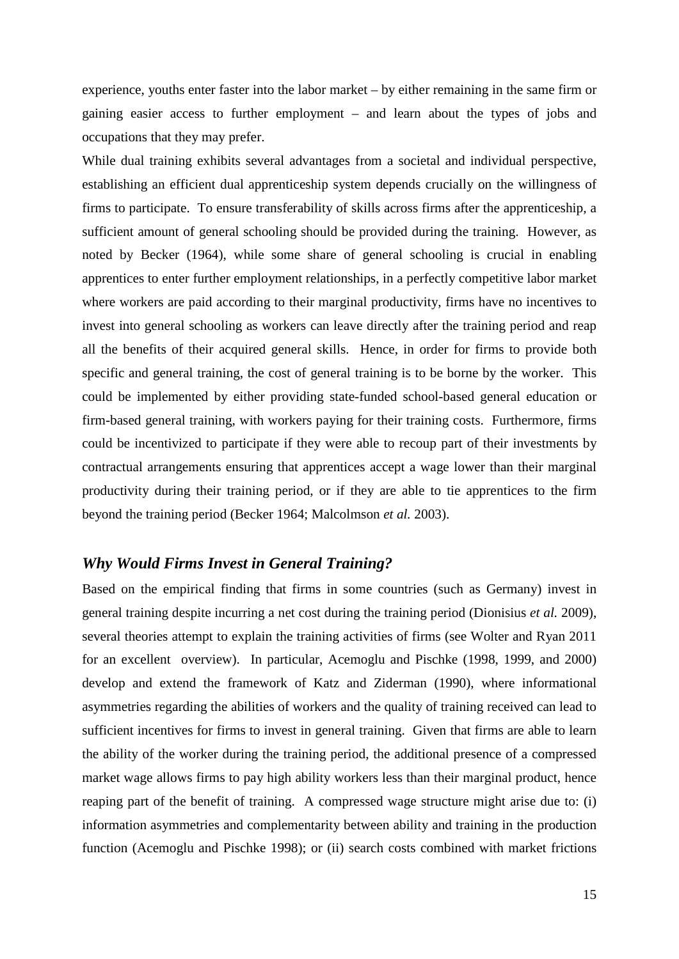experience, youths enter faster into the labor market – by either remaining in the same firm or gaining easier access to further employment – and learn about the types of jobs and occupations that they may prefer.

While dual training exhibits several advantages from a societal and individual perspective, establishing an efficient dual apprenticeship system depends crucially on the willingness of firms to participate. To ensure transferability of skills across firms after the apprenticeship, a sufficient amount of general schooling should be provided during the training. However, as noted by Becker (1964), while some share of general schooling is crucial in enabling apprentices to enter further employment relationships, in a perfectly competitive labor market where workers are paid according to their marginal productivity, firms have no incentives to invest into general schooling as workers can leave directly after the training period and reap all the benefits of their acquired general skills. Hence, in order for firms to provide both specific and general training, the cost of general training is to be borne by the worker. This could be implemented by either providing state-funded school-based general education or firm-based general training, with workers paying for their training costs. Furthermore, firms could be incentivized to participate if they were able to recoup part of their investments by contractual arrangements ensuring that apprentices accept a wage lower than their marginal productivity during their training period, or if they are able to tie apprentices to the firm beyond the training period (Becker 1964; Malcolmson *et al.* 2003).

#### *Why Would Firms Invest in General Training?*

Based on the empirical finding that firms in some countries (such as Germany) invest in general training despite incurring a net cost during the training period (Dionisius *et al.* 2009), several theories attempt to explain the training activities of firms (see Wolter and Ryan 2011 for an excellent overview). In particular, Acemoglu and Pischke (1998, 1999, and 2000) develop and extend the framework of Katz and Ziderman (1990), where informational asymmetries regarding the abilities of workers and the quality of training received can lead to sufficient incentives for firms to invest in general training. Given that firms are able to learn the ability of the worker during the training period, the additional presence of a compressed market wage allows firms to pay high ability workers less than their marginal product, hence reaping part of the benefit of training. A compressed wage structure might arise due to: (i) information asymmetries and complementarity between ability and training in the production function (Acemoglu and Pischke 1998); or (ii) search costs combined with market frictions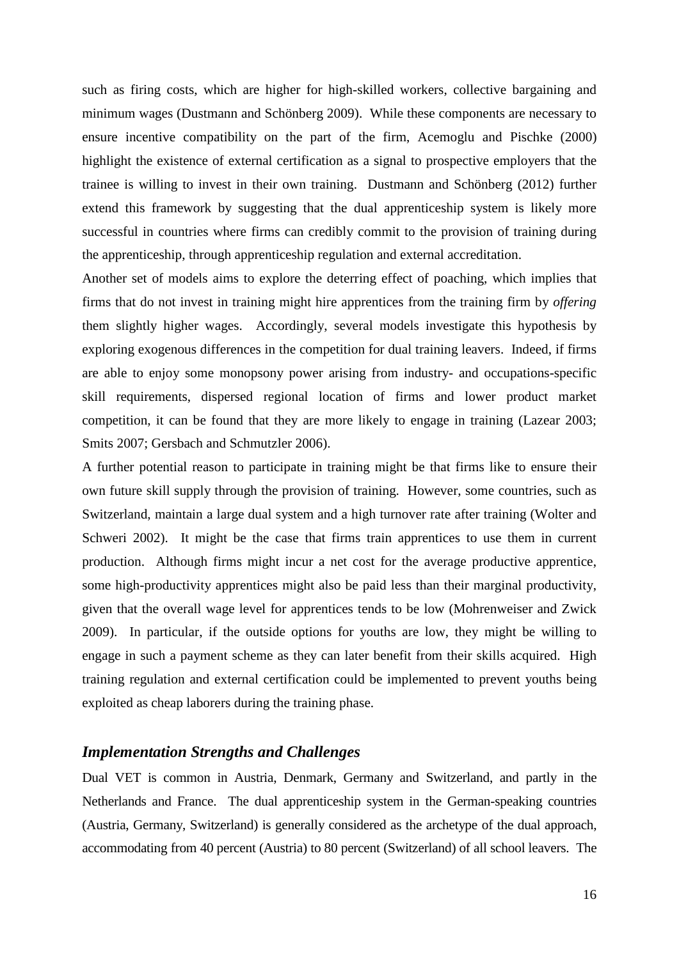such as firing costs, which are higher for high-skilled workers, collective bargaining and minimum wages (Dustmann and Schönberg 2009). While these components are necessary to ensure incentive compatibility on the part of the firm, Acemoglu and Pischke (2000) highlight the existence of external certification as a signal to prospective employers that the trainee is willing to invest in their own training. Dustmann and Schönberg (2012) further extend this framework by suggesting that the dual apprenticeship system is likely more successful in countries where firms can credibly commit to the provision of training during the apprenticeship, through apprenticeship regulation and external accreditation.

Another set of models aims to explore the deterring effect of poaching, which implies that firms that do not invest in training might hire apprentices from the training firm by *offering*  them slightly higher wages. Accordingly, several models investigate this hypothesis by exploring exogenous differences in the competition for dual training leavers. Indeed, if firms are able to enjoy some monopsony power arising from industry- and occupations-specific skill requirements, dispersed regional location of firms and lower product market competition, it can be found that they are more likely to engage in training (Lazear 2003; Smits 2007; Gersbach and Schmutzler 2006).

A further potential reason to participate in training might be that firms like to ensure their own future skill supply through the provision of training. However, some countries, such as Switzerland, maintain a large dual system and a high turnover rate after training (Wolter and Schweri 2002). It might be the case that firms train apprentices to use them in current production. Although firms might incur a net cost for the average productive apprentice, some high-productivity apprentices might also be paid less than their marginal productivity, given that the overall wage level for apprentices tends to be low (Mohrenweiser and Zwick 2009). In particular, if the outside options for youths are low, they might be willing to engage in such a payment scheme as they can later benefit from their skills acquired. High training regulation and external certification could be implemented to prevent youths being exploited as cheap laborers during the training phase.

#### *Implementation Strengths and Challenges*

Dual VET is common in Austria, Denmark, Germany and Switzerland, and partly in the Netherlands and France. The dual apprenticeship system in the German-speaking countries (Austria, Germany, Switzerland) is generally considered as the archetype of the dual approach, accommodating from 40 percent (Austria) to 80 percent (Switzerland) of all school leavers. The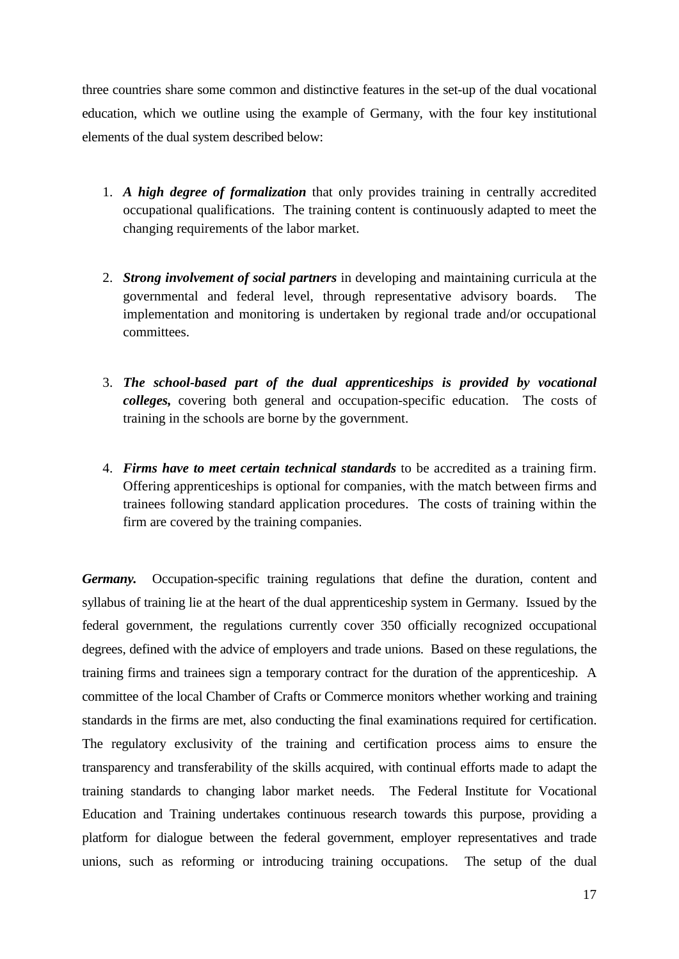three countries share some common and distinctive features in the set-up of the dual vocational education, which we outline using the example of Germany, with the four key institutional elements of the dual system described below:

- 1. *A high degree of formalization* that only provides training in centrally accredited occupational qualifications. The training content is continuously adapted to meet the changing requirements of the labor market.
- 2. *Strong involvement of social partners* in developing and maintaining curricula at the governmental and federal level, through representative advisory boards. The implementation and monitoring is undertaken by regional trade and/or occupational committees.
- 3. *The school-based part of the dual apprenticeships is provided by vocational colleges,* covering both general and occupation-specific education. The costs of training in the schools are borne by the government.
- 4. *Firms have to meet certain technical standards* to be accredited as a training firm. Offering apprenticeships is optional for companies, with the match between firms and trainees following standard application procedures. The costs of training within the firm are covered by the training companies.

*Germany.* Occupation-specific training regulations that define the duration, content and syllabus of training lie at the heart of the dual apprenticeship system in Germany. Issued by the federal government, the regulations currently cover 350 officially recognized occupational degrees, defined with the advice of employers and trade unions. Based on these regulations, the training firms and trainees sign a temporary contract for the duration of the apprenticeship. A committee of the local Chamber of Crafts or Commerce monitors whether working and training standards in the firms are met, also conducting the final examinations required for certification. The regulatory exclusivity of the training and certification process aims to ensure the transparency and transferability of the skills acquired, with continual efforts made to adapt the training standards to changing labor market needs. The Federal Institute for Vocational Education and Training undertakes continuous research towards this purpose, providing a platform for dialogue between the federal government, employer representatives and trade unions, such as reforming or introducing training occupations. The setup of the dual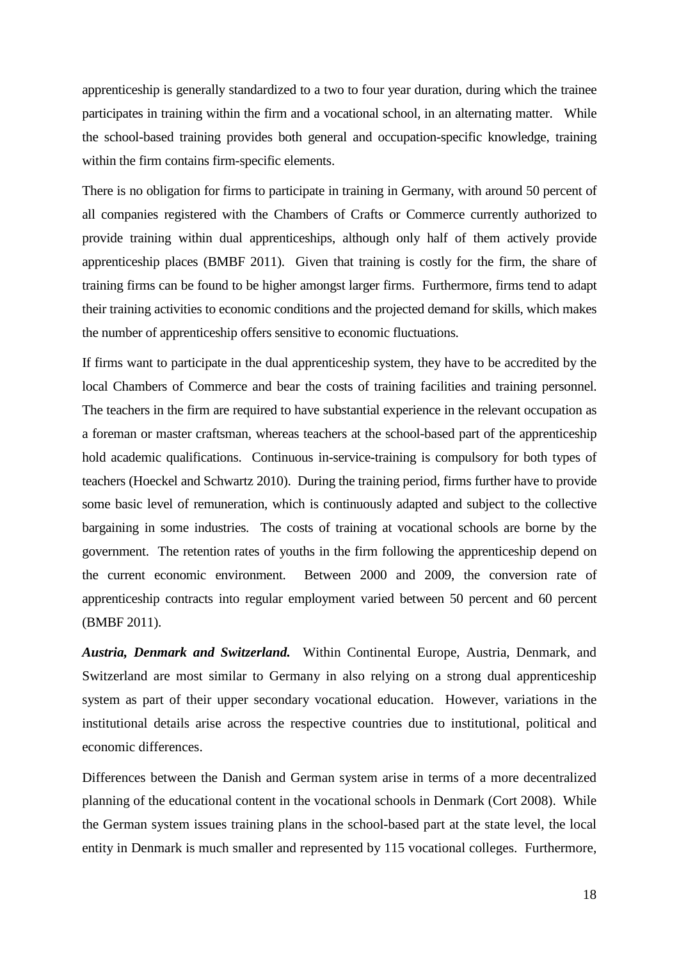apprenticeship is generally standardized to a two to four year duration, during which the trainee participates in training within the firm and a vocational school, in an alternating matter. While the school-based training provides both general and occupation-specific knowledge, training within the firm contains firm-specific elements.

There is no obligation for firms to participate in training in Germany, with around 50 percent of all companies registered with the Chambers of Crafts or Commerce currently authorized to provide training within dual apprenticeships, although only half of them actively provide apprenticeship places (BMBF 2011). Given that training is costly for the firm, the share of training firms can be found to be higher amongst larger firms. Furthermore, firms tend to adapt their training activities to economic conditions and the projected demand for skills, which makes the number of apprenticeship offers sensitive to economic fluctuations.

If firms want to participate in the dual apprenticeship system, they have to be accredited by the local Chambers of Commerce and bear the costs of training facilities and training personnel. The teachers in the firm are required to have substantial experience in the relevant occupation as a foreman or master craftsman, whereas teachers at the school-based part of the apprenticeship hold academic qualifications. Continuous in-service-training is compulsory for both types of teachers (Hoeckel and Schwartz 2010). During the training period, firms further have to provide some basic level of remuneration, which is continuously adapted and subject to the collective bargaining in some industries. The costs of training at vocational schools are borne by the government. The retention rates of youths in the firm following the apprenticeship depend on the current economic environment. Between 2000 and 2009, the conversion rate of apprenticeship contracts into regular employment varied between 50 percent and 60 percent (BMBF 2011).

*Austria, Denmark and Switzerland.* Within Continental Europe, Austria, Denmark, and Switzerland are most similar to Germany in also relying on a strong dual apprenticeship system as part of their upper secondary vocational education. However, variations in the institutional details arise across the respective countries due to institutional, political and economic differences.

Differences between the Danish and German system arise in terms of a more decentralized planning of the educational content in the vocational schools in Denmark (Cort 2008). While the German system issues training plans in the school-based part at the state level, the local entity in Denmark is much smaller and represented by 115 vocational colleges. Furthermore,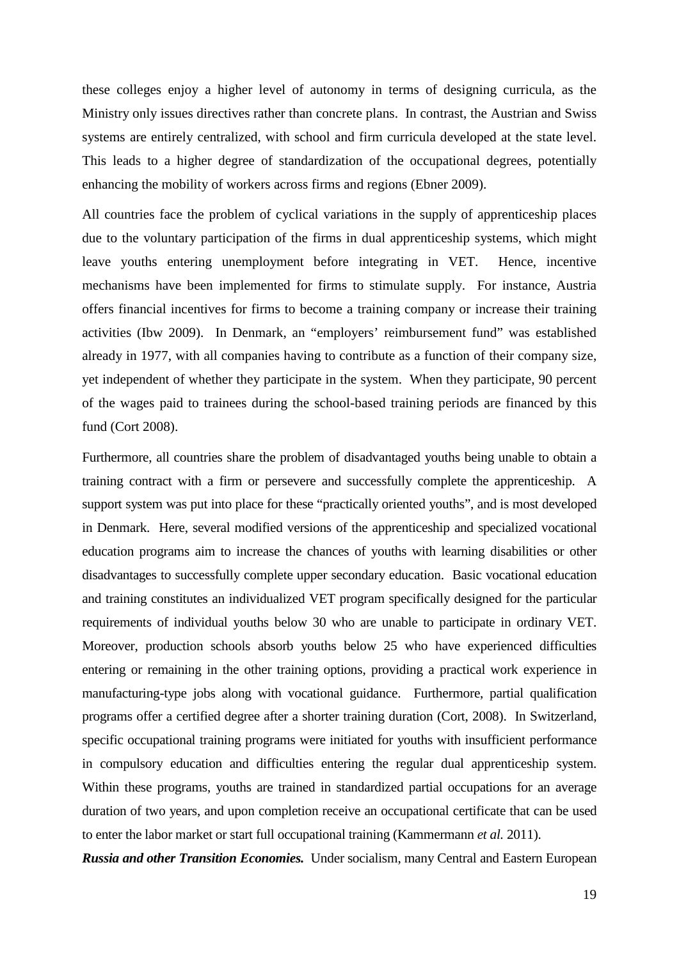these colleges enjoy a higher level of autonomy in terms of designing curricula, as the Ministry only issues directives rather than concrete plans. In contrast, the Austrian and Swiss systems are entirely centralized, with school and firm curricula developed at the state level. This leads to a higher degree of standardization of the occupational degrees, potentially enhancing the mobility of workers across firms and regions (Ebner 2009).

All countries face the problem of cyclical variations in the supply of apprenticeship places due to the voluntary participation of the firms in dual apprenticeship systems, which might leave youths entering unemployment before integrating in VET. Hence, incentive mechanisms have been implemented for firms to stimulate supply. For instance, Austria offers financial incentives for firms to become a training company or increase their training activities (Ibw 2009). In Denmark, an "employers' reimbursement fund" was established already in 1977, with all companies having to contribute as a function of their company size, yet independent of whether they participate in the system. When they participate, 90 percent of the wages paid to trainees during the school-based training periods are financed by this fund (Cort 2008).

Furthermore, all countries share the problem of disadvantaged youths being unable to obtain a training contract with a firm or persevere and successfully complete the apprenticeship. A support system was put into place for these "practically oriented youths", and is most developed in Denmark. Here, several modified versions of the apprenticeship and specialized vocational education programs aim to increase the chances of youths with learning disabilities or other disadvantages to successfully complete upper secondary education. Basic vocational education and training constitutes an individualized VET program specifically designed for the particular requirements of individual youths below 30 who are unable to participate in ordinary VET. Moreover, production schools absorb youths below 25 who have experienced difficulties entering or remaining in the other training options, providing a practical work experience in manufacturing-type jobs along with vocational guidance. Furthermore, partial qualification programs offer a certified degree after a shorter training duration (Cort, 2008). In Switzerland, specific occupational training programs were initiated for youths with insufficient performance in compulsory education and difficulties entering the regular dual apprenticeship system. Within these programs, youths are trained in standardized partial occupations for an average duration of two years, and upon completion receive an occupational certificate that can be used to enter the labor market or start full occupational training (Kammermann *et al.* 2011).

*Russia and other Transition Economies.* Under socialism, many Central and Eastern European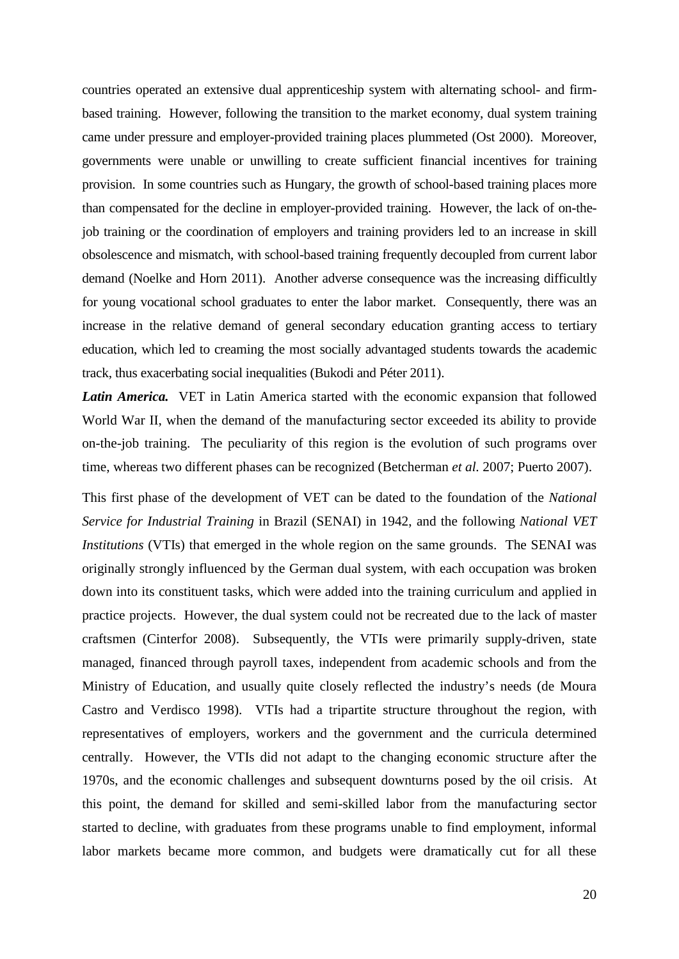countries operated an extensive dual apprenticeship system with alternating school- and firmbased training. However, following the transition to the market economy, dual system training came under pressure and employer-provided training places plummeted (Ost 2000). Moreover, governments were unable or unwilling to create sufficient financial incentives for training provision. In some countries such as Hungary, the growth of school-based training places more than compensated for the decline in employer-provided training. However, the lack of on-thejob training or the coordination of employers and training providers led to an increase in skill obsolescence and mismatch, with school-based training frequently decoupled from current labor demand (Noelke and Horn 2011). Another adverse consequence was the increasing difficultly for young vocational school graduates to enter the labor market. Consequently, there was an increase in the relative demand of general secondary education granting access to tertiary education, which led to creaming the most socially advantaged students towards the academic track, thus exacerbating social inequalities (Bukodi and Péter 2011).

*Latin America.* VET in Latin America started with the economic expansion that followed World War II, when the demand of the manufacturing sector exceeded its ability to provide on-the-job training. The peculiarity of this region is the evolution of such programs over time, whereas two different phases can be recognized (Betcherman *et al.* 2007; Puerto 2007).

This first phase of the development of VET can be dated to the foundation of the *National Service for Industrial Training* in Brazil (SENAI) in 1942, and the following *National VET Institutions* (VTIs) that emerged in the whole region on the same grounds. The SENAI was originally strongly influenced by the German dual system, with each occupation was broken down into its constituent tasks, which were added into the training curriculum and applied in practice projects. However, the dual system could not be recreated due to the lack of master craftsmen (Cinterfor 2008). Subsequently, the VTIs were primarily supply-driven, state managed, financed through payroll taxes, independent from academic schools and from the Ministry of Education, and usually quite closely reflected the industry's needs (de Moura Castro and Verdisco 1998). VTIs had a tripartite structure throughout the region, with representatives of employers, workers and the government and the curricula determined centrally. However, the VTIs did not adapt to the changing economic structure after the 1970s, and the economic challenges and subsequent downturns posed by the oil crisis. At this point, the demand for skilled and semi-skilled labor from the manufacturing sector started to decline, with graduates from these programs unable to find employment, informal labor markets became more common, and budgets were dramatically cut for all these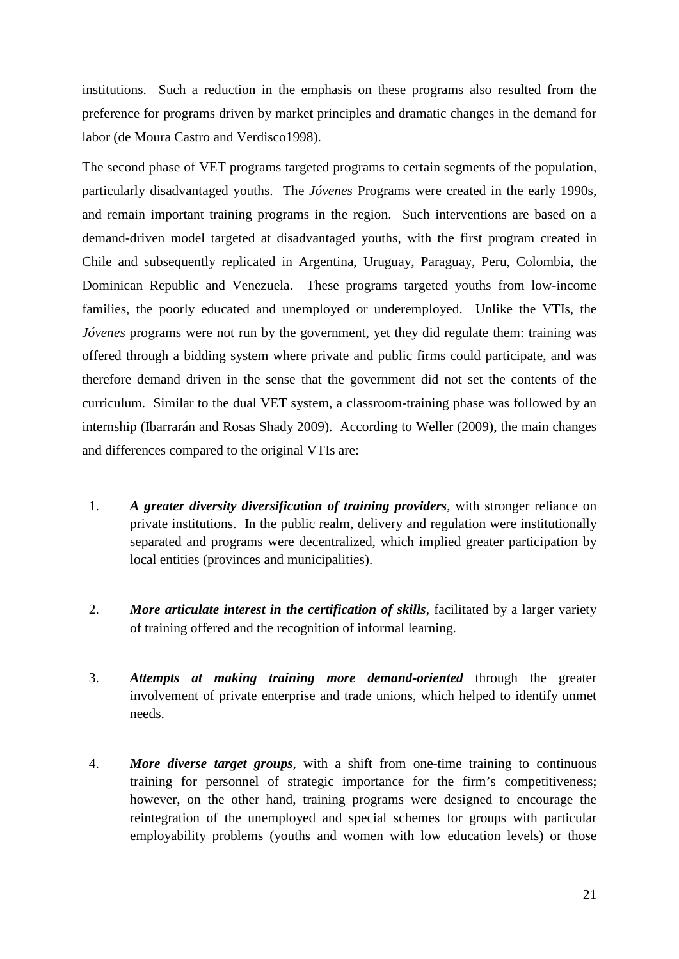institutions. Such a reduction in the emphasis on these programs also resulted from the preference for programs driven by market principles and dramatic changes in the demand for labor (de Moura Castro and Verdisco1998).

The second phase of VET programs targeted programs to certain segments of the population, particularly disadvantaged youths. The *Jóvenes* Programs were created in the early 1990s, and remain important training programs in the region. Such interventions are based on a demand-driven model targeted at disadvantaged youths, with the first program created in Chile and subsequently replicated in Argentina, Uruguay, Paraguay, Peru, Colombia, the Dominican Republic and Venezuela. These programs targeted youths from low-income families, the poorly educated and unemployed or underemployed. Unlike the VTIs, the *Jóvenes* programs were not run by the government, yet they did regulate them: training was offered through a bidding system where private and public firms could participate, and was therefore demand driven in the sense that the government did not set the contents of the curriculum. Similar to the dual VET system, a classroom-training phase was followed by an internship (Ibarrarán and Rosas Shady 2009). According to Weller (2009), the main changes and differences compared to the original VTIs are:

- 1. *A greater diversity diversification of training providers*, with stronger reliance on private institutions. In the public realm, delivery and regulation were institutionally separated and programs were decentralized, which implied greater participation by local entities (provinces and municipalities).
- 2. *More articulate interest in the certification of skills*, facilitated by a larger variety of training offered and the recognition of informal learning.
- 3. *Attempts at making training more demand-oriented* through the greater involvement of private enterprise and trade unions, which helped to identify unmet needs.
- 4. *More diverse target groups*, with a shift from one-time training to continuous training for personnel of strategic importance for the firm's competitiveness; however, on the other hand, training programs were designed to encourage the reintegration of the unemployed and special schemes for groups with particular employability problems (youths and women with low education levels) or those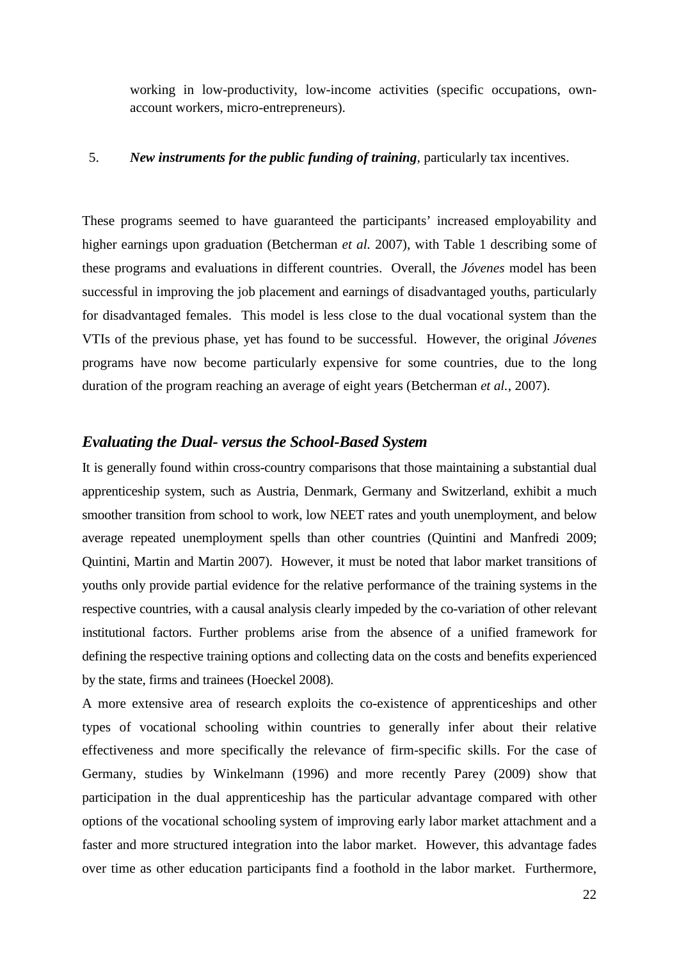working in low-productivity, low-income activities (specific occupations, ownaccount workers, micro-entrepreneurs).

#### 5. *New instruments for the public funding of training*, particularly tax incentives.

These programs seemed to have guaranteed the participants' increased employability and higher earnings upon graduation (Betcherman *et al.* 2007), with Table 1 describing some of these programs and evaluations in different countries. Overall, the *Jóvenes* model has been successful in improving the job placement and earnings of disadvantaged youths, particularly for disadvantaged females. This model is less close to the dual vocational system than the VTIs of the previous phase, yet has found to be successful. However, the original *Jóvenes* programs have now become particularly expensive for some countries, due to the long duration of the program reaching an average of eight years (Betcherman *et al.*, 2007).

#### *Evaluating the Dual- versus the School-Based System*

It is generally found within cross-country comparisons that those maintaining a substantial dual apprenticeship system, such as Austria, Denmark, Germany and Switzerland, exhibit a much smoother transition from school to work, low NEET rates and youth unemployment, and below average repeated unemployment spells than other countries (Quintini and Manfredi 2009; Quintini, Martin and Martin 2007). However, it must be noted that labor market transitions of youths only provide partial evidence for the relative performance of the training systems in the respective countries, with a causal analysis clearly impeded by the co-variation of other relevant institutional factors. Further problems arise from the absence of a unified framework for defining the respective training options and collecting data on the costs and benefits experienced by the state, firms and trainees (Hoeckel 2008).

A more extensive area of research exploits the co-existence of apprenticeships and other types of vocational schooling within countries to generally infer about their relative effectiveness and more specifically the relevance of firm-specific skills. For the case of Germany, studies by Winkelmann (1996) and more recently Parey (2009) show that participation in the dual apprenticeship has the particular advantage compared with other options of the vocational schooling system of improving early labor market attachment and a faster and more structured integration into the labor market. However, this advantage fades over time as other education participants find a foothold in the labor market. Furthermore,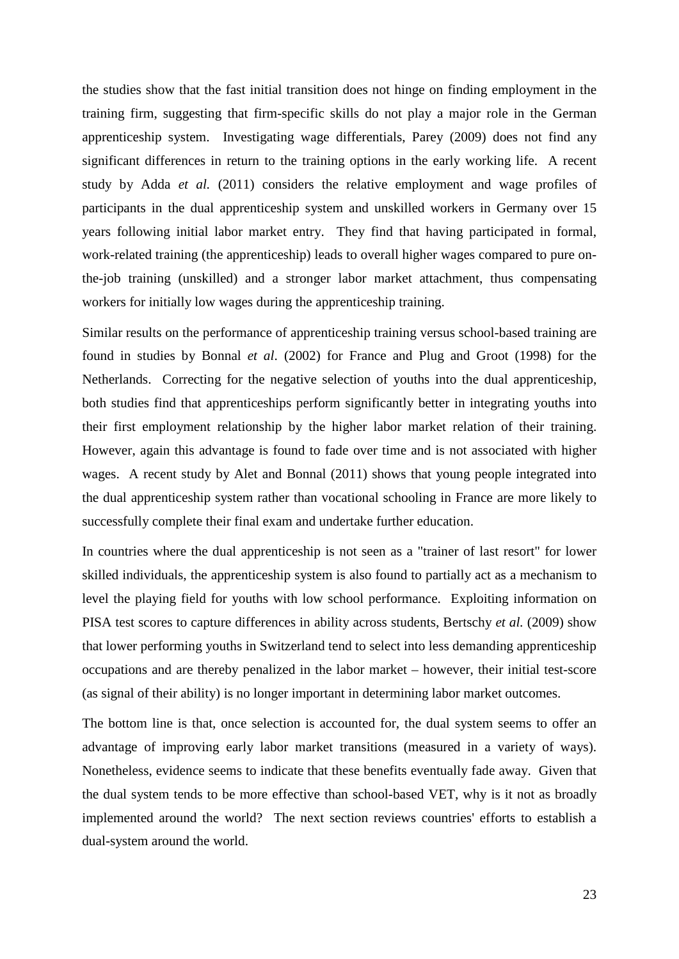the studies show that the fast initial transition does not hinge on finding employment in the training firm, suggesting that firm-specific skills do not play a major role in the German apprenticeship system. Investigating wage differentials, Parey (2009) does not find any significant differences in return to the training options in the early working life. A recent study by Adda *et al.* (2011) considers the relative employment and wage profiles of participants in the dual apprenticeship system and unskilled workers in Germany over 15 years following initial labor market entry. They find that having participated in formal, work-related training (the apprenticeship) leads to overall higher wages compared to pure onthe-job training (unskilled) and a stronger labor market attachment, thus compensating workers for initially low wages during the apprenticeship training.

Similar results on the performance of apprenticeship training versus school-based training are found in studies by Bonnal *et al*. (2002) for France and Plug and Groot (1998) for the Netherlands. Correcting for the negative selection of youths into the dual apprenticeship, both studies find that apprenticeships perform significantly better in integrating youths into their first employment relationship by the higher labor market relation of their training. However, again this advantage is found to fade over time and is not associated with higher wages. A recent study by Alet and Bonnal (2011) shows that young people integrated into the dual apprenticeship system rather than vocational schooling in France are more likely to successfully complete their final exam and undertake further education.

In countries where the dual apprenticeship is not seen as a "trainer of last resort" for lower skilled individuals, the apprenticeship system is also found to partially act as a mechanism to level the playing field for youths with low school performance. Exploiting information on PISA test scores to capture differences in ability across students, Bertschy *et al.* (2009) show that lower performing youths in Switzerland tend to select into less demanding apprenticeship occupations and are thereby penalized in the labor market – however, their initial test-score (as signal of their ability) is no longer important in determining labor market outcomes.

The bottom line is that, once selection is accounted for, the dual system seems to offer an advantage of improving early labor market transitions (measured in a variety of ways). Nonetheless, evidence seems to indicate that these benefits eventually fade away. Given that the dual system tends to be more effective than school-based VET, why is it not as broadly implemented around the world? The next section reviews countries' efforts to establish a dual-system around the world.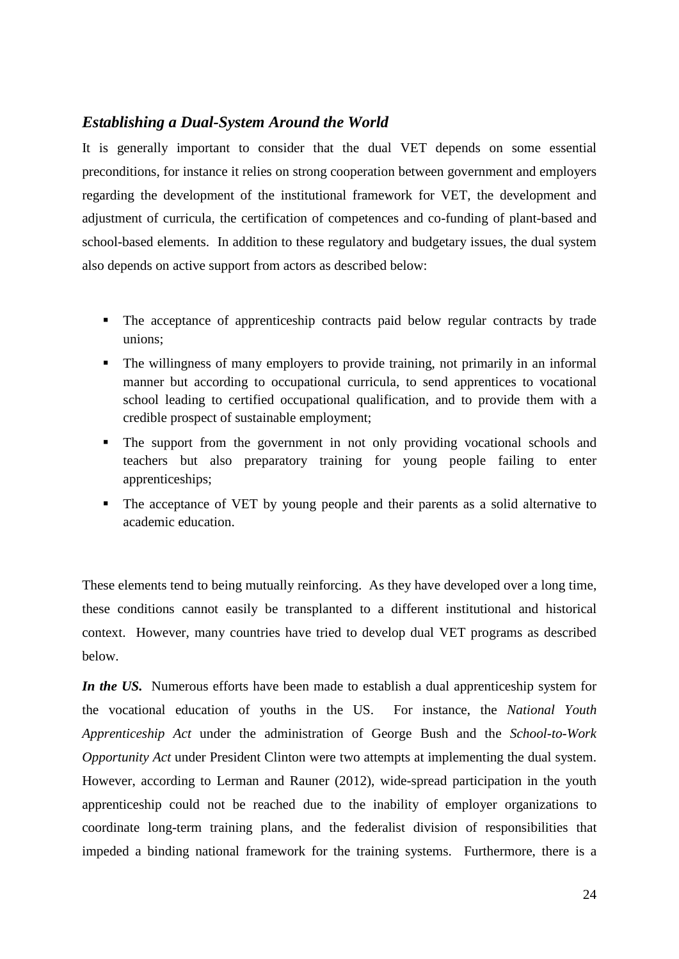#### *Establishing a Dual-System Around the World*

It is generally important to consider that the dual VET depends on some essential preconditions, for instance it relies on strong cooperation between government and employers regarding the development of the institutional framework for VET, the development and adjustment of curricula, the certification of competences and co-funding of plant-based and school-based elements. In addition to these regulatory and budgetary issues, the dual system also depends on active support from actors as described below:

- The acceptance of apprenticeship contracts paid below regular contracts by trade unions;
- The willingness of many employers to provide training, not primarily in an informal manner but according to occupational curricula, to send apprentices to vocational school leading to certified occupational qualification, and to provide them with a credible prospect of sustainable employment;
- The support from the government in not only providing vocational schools and teachers but also preparatory training for young people failing to enter apprenticeships;
- The acceptance of VET by young people and their parents as a solid alternative to academic education.

These elements tend to being mutually reinforcing. As they have developed over a long time, these conditions cannot easily be transplanted to a different institutional and historical context. However, many countries have tried to develop dual VET programs as described below.

*In the US.* Numerous efforts have been made to establish a dual apprenticeship system for the vocational education of youths in the US. For instance, the *National Youth Apprenticeship Act* under the administration of George Bush and the *School-to-Work Opportunity Act* under President Clinton were two attempts at implementing the dual system. However, according to Lerman and Rauner (2012), wide-spread participation in the youth apprenticeship could not be reached due to the inability of employer organizations to coordinate long-term training plans, and the federalist division of responsibilities that impeded a binding national framework for the training systems. Furthermore, there is a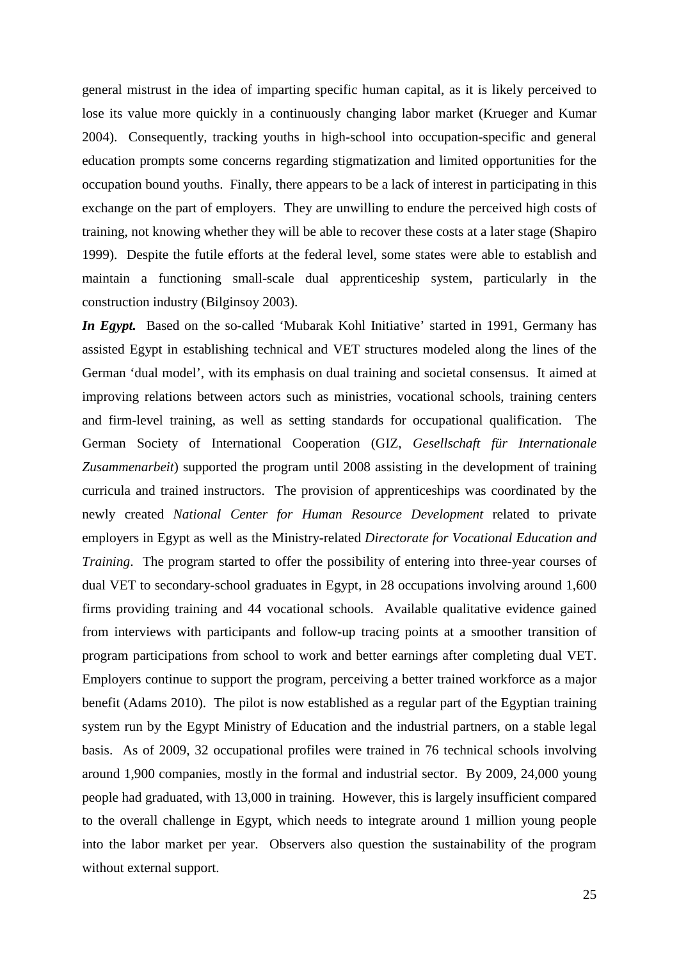general mistrust in the idea of imparting specific human capital, as it is likely perceived to lose its value more quickly in a continuously changing labor market (Krueger and Kumar 2004). Consequently, tracking youths in high-school into occupation-specific and general education prompts some concerns regarding stigmatization and limited opportunities for the occupation bound youths. Finally, there appears to be a lack of interest in participating in this exchange on the part of employers. They are unwilling to endure the perceived high costs of training, not knowing whether they will be able to recover these costs at a later stage (Shapiro 1999). Despite the futile efforts at the federal level, some states were able to establish and maintain a functioning small-scale dual apprenticeship system, particularly in the construction industry (Bilginsoy 2003).

*In Egypt.* Based on the so-called 'Mubarak Kohl Initiative' started in 1991, Germany has assisted Egypt in establishing technical and VET structures modeled along the lines of the German 'dual model', with its emphasis on dual training and societal consensus. It aimed at improving relations between actors such as ministries, vocational schools, training centers and firm-level training, as well as setting standards for occupational qualification. The German Society of International Cooperation (GIZ, *Gesellschaft für Internationale Zusammenarbeit*) supported the program until 2008 assisting in the development of training curricula and trained instructors. The provision of apprenticeships was coordinated by the newly created *National Center for Human Resource Development* related to private employers in Egypt as well as the Ministry-related *Directorate for Vocational Education and Training*. The program started to offer the possibility of entering into three-year courses of dual VET to secondary-school graduates in Egypt, in 28 occupations involving around 1,600 firms providing training and 44 vocational schools. Available qualitative evidence gained from interviews with participants and follow-up tracing points at a smoother transition of program participations from school to work and better earnings after completing dual VET. Employers continue to support the program, perceiving a better trained workforce as a major benefit (Adams 2010). The pilot is now established as a regular part of the Egyptian training system run by the Egypt Ministry of Education and the industrial partners, on a stable legal basis. As of 2009, 32 occupational profiles were trained in 76 technical schools involving around 1,900 companies, mostly in the formal and industrial sector. By 2009, 24,000 young people had graduated, with 13,000 in training. However, this is largely insufficient compared to the overall challenge in Egypt, which needs to integrate around 1 million young people into the labor market per year. Observers also question the sustainability of the program without external support.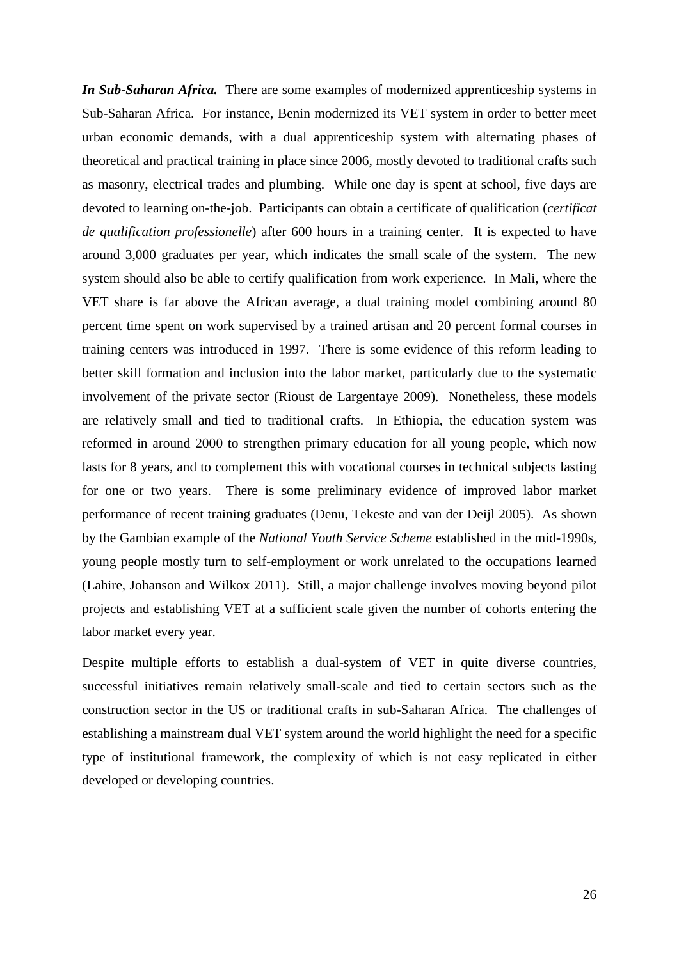*In Sub-Saharan Africa.* There are some examples of modernized apprenticeship systems in Sub-Saharan Africa. For instance, Benin modernized its VET system in order to better meet urban economic demands, with a dual apprenticeship system with alternating phases of theoretical and practical training in place since 2006, mostly devoted to traditional crafts such as masonry, electrical trades and plumbing. While one day is spent at school, five days are devoted to learning on-the-job. Participants can obtain a certificate of qualification (*certificat de qualification professionelle*) after 600 hours in a training center. It is expected to have around 3,000 graduates per year, which indicates the small scale of the system. The new system should also be able to certify qualification from work experience. In Mali, where the VET share is far above the African average, a dual training model combining around 80 percent time spent on work supervised by a trained artisan and 20 percent formal courses in training centers was introduced in 1997. There is some evidence of this reform leading to better skill formation and inclusion into the labor market, particularly due to the systematic involvement of the private sector (Rioust de Largentaye 2009). Nonetheless, these models are relatively small and tied to traditional crafts. In Ethiopia, the education system was reformed in around 2000 to strengthen primary education for all young people, which now lasts for 8 years, and to complement this with vocational courses in technical subjects lasting for one or two years. There is some preliminary evidence of improved labor market performance of recent training graduates (Denu, Tekeste and van der Deijl 2005). As shown by the Gambian example of the *National Youth Service Scheme* established in the mid-1990s, young people mostly turn to self-employment or work unrelated to the occupations learned (Lahire, Johanson and Wilkox 2011). Still, a major challenge involves moving beyond pilot projects and establishing VET at a sufficient scale given the number of cohorts entering the labor market every year.

Despite multiple efforts to establish a dual-system of VET in quite diverse countries, successful initiatives remain relatively small-scale and tied to certain sectors such as the construction sector in the US or traditional crafts in sub-Saharan Africa. The challenges of establishing a mainstream dual VET system around the world highlight the need for a specific type of institutional framework, the complexity of which is not easy replicated in either developed or developing countries.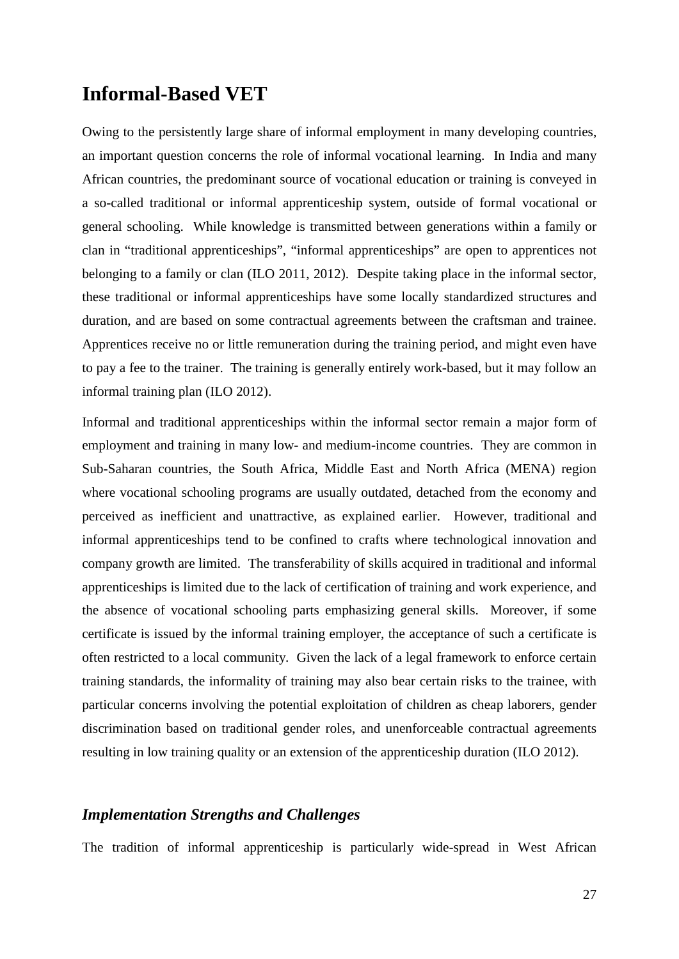## **Informal-Based VET**

Owing to the persistently large share of informal employment in many developing countries, an important question concerns the role of informal vocational learning. In India and many African countries, the predominant source of vocational education or training is conveyed in a so-called traditional or informal apprenticeship system, outside of formal vocational or general schooling. While knowledge is transmitted between generations within a family or clan in "traditional apprenticeships", "informal apprenticeships" are open to apprentices not belonging to a family or clan (ILO 2011, 2012). Despite taking place in the informal sector, these traditional or informal apprenticeships have some locally standardized structures and duration, and are based on some contractual agreements between the craftsman and trainee. Apprentices receive no or little remuneration during the training period, and might even have to pay a fee to the trainer. The training is generally entirely work-based, but it may follow an informal training plan (ILO 2012).

Informal and traditional apprenticeships within the informal sector remain a major form of employment and training in many low- and medium-income countries. They are common in Sub-Saharan countries, the South Africa, Middle East and North Africa (MENA) region where vocational schooling programs are usually outdated, detached from the economy and perceived as inefficient and unattractive, as explained earlier. However, traditional and informal apprenticeships tend to be confined to crafts where technological innovation and company growth are limited. The transferability of skills acquired in traditional and informal apprenticeships is limited due to the lack of certification of training and work experience, and the absence of vocational schooling parts emphasizing general skills. Moreover, if some certificate is issued by the informal training employer, the acceptance of such a certificate is often restricted to a local community. Given the lack of a legal framework to enforce certain training standards, the informality of training may also bear certain risks to the trainee, with particular concerns involving the potential exploitation of children as cheap laborers, gender discrimination based on traditional gender roles, and unenforceable contractual agreements resulting in low training quality or an extension of the apprenticeship duration (ILO 2012).

#### *Implementation Strengths and Challenges*

The tradition of informal apprenticeship is particularly wide-spread in West African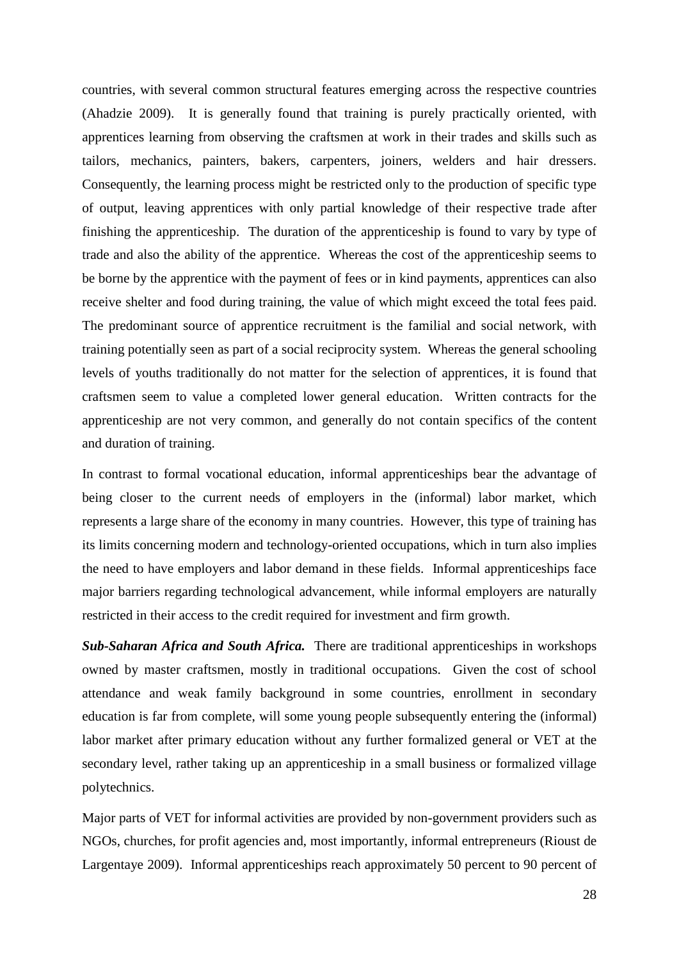countries, with several common structural features emerging across the respective countries (Ahadzie 2009). It is generally found that training is purely practically oriented, with apprentices learning from observing the craftsmen at work in their trades and skills such as tailors, mechanics, painters, bakers, carpenters, joiners, welders and hair dressers. Consequently, the learning process might be restricted only to the production of specific type of output, leaving apprentices with only partial knowledge of their respective trade after finishing the apprenticeship. The duration of the apprenticeship is found to vary by type of trade and also the ability of the apprentice. Whereas the cost of the apprenticeship seems to be borne by the apprentice with the payment of fees or in kind payments, apprentices can also receive shelter and food during training, the value of which might exceed the total fees paid. The predominant source of apprentice recruitment is the familial and social network, with training potentially seen as part of a social reciprocity system. Whereas the general schooling levels of youths traditionally do not matter for the selection of apprentices, it is found that craftsmen seem to value a completed lower general education. Written contracts for the apprenticeship are not very common, and generally do not contain specifics of the content and duration of training.

In contrast to formal vocational education, informal apprenticeships bear the advantage of being closer to the current needs of employers in the (informal) labor market, which represents a large share of the economy in many countries. However, this type of training has its limits concerning modern and technology-oriented occupations, which in turn also implies the need to have employers and labor demand in these fields. Informal apprenticeships face major barriers regarding technological advancement, while informal employers are naturally restricted in their access to the credit required for investment and firm growth.

*Sub-Saharan Africa and South Africa.* There are traditional apprenticeships in workshops owned by master craftsmen, mostly in traditional occupations. Given the cost of school attendance and weak family background in some countries, enrollment in secondary education is far from complete, will some young people subsequently entering the (informal) labor market after primary education without any further formalized general or VET at the secondary level, rather taking up an apprenticeship in a small business or formalized village polytechnics.

Major parts of VET for informal activities are provided by non-government providers such as NGOs, churches, for profit agencies and, most importantly, informal entrepreneurs (Rioust de Largentaye 2009). Informal apprenticeships reach approximately 50 percent to 90 percent of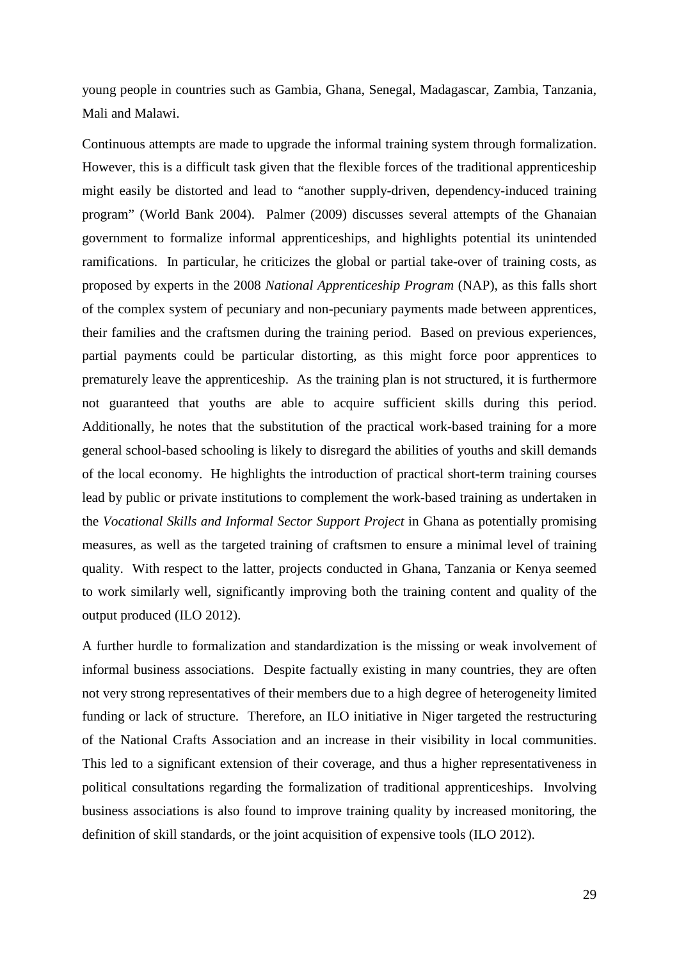young people in countries such as Gambia, Ghana, Senegal, Madagascar, Zambia, Tanzania, Mali and Malawi.

Continuous attempts are made to upgrade the informal training system through formalization. However, this is a difficult task given that the flexible forces of the traditional apprenticeship might easily be distorted and lead to "another supply-driven, dependency-induced training program" (World Bank 2004). Palmer (2009) discusses several attempts of the Ghanaian government to formalize informal apprenticeships, and highlights potential its unintended ramifications. In particular, he criticizes the global or partial take-over of training costs, as proposed by experts in the 2008 *National Apprenticeship Program* (NAP), as this falls short of the complex system of pecuniary and non-pecuniary payments made between apprentices, their families and the craftsmen during the training period. Based on previous experiences, partial payments could be particular distorting, as this might force poor apprentices to prematurely leave the apprenticeship. As the training plan is not structured, it is furthermore not guaranteed that youths are able to acquire sufficient skills during this period. Additionally, he notes that the substitution of the practical work-based training for a more general school-based schooling is likely to disregard the abilities of youths and skill demands of the local economy. He highlights the introduction of practical short-term training courses lead by public or private institutions to complement the work-based training as undertaken in the *Vocational Skills and Informal Sector Support Project* in Ghana as potentially promising measures, as well as the targeted training of craftsmen to ensure a minimal level of training quality. With respect to the latter, projects conducted in Ghana, Tanzania or Kenya seemed to work similarly well, significantly improving both the training content and quality of the output produced (ILO 2012).

A further hurdle to formalization and standardization is the missing or weak involvement of informal business associations. Despite factually existing in many countries, they are often not very strong representatives of their members due to a high degree of heterogeneity limited funding or lack of structure. Therefore, an ILO initiative in Niger targeted the restructuring of the National Crafts Association and an increase in their visibility in local communities. This led to a significant extension of their coverage, and thus a higher representativeness in political consultations regarding the formalization of traditional apprenticeships. Involving business associations is also found to improve training quality by increased monitoring, the definition of skill standards, or the joint acquisition of expensive tools (ILO 2012).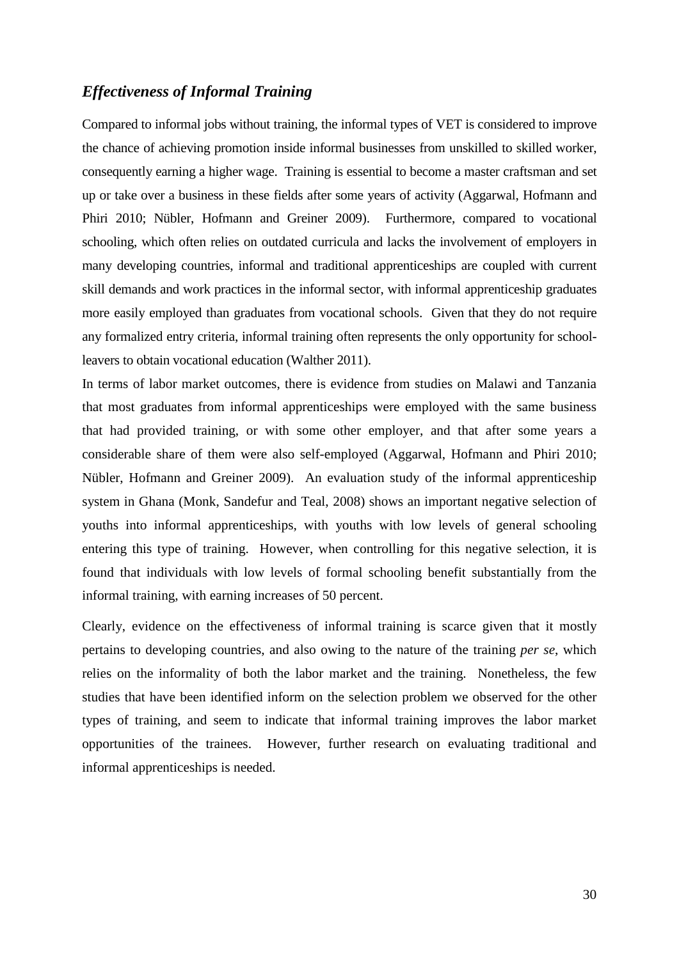#### *Effectiveness of Informal Training*

Compared to informal jobs without training, the informal types of VET is considered to improve the chance of achieving promotion inside informal businesses from unskilled to skilled worker, consequently earning a higher wage. Training is essential to become a master craftsman and set up or take over a business in these fields after some years of activity (Aggarwal, Hofmann and Phiri 2010; Nübler, Hofmann and Greiner 2009). Furthermore, compared to vocational schooling, which often relies on outdated curricula and lacks the involvement of employers in many developing countries, informal and traditional apprenticeships are coupled with current skill demands and work practices in the informal sector, with informal apprenticeship graduates more easily employed than graduates from vocational schools. Given that they do not require any formalized entry criteria, informal training often represents the only opportunity for schoolleavers to obtain vocational education (Walther 2011).

In terms of labor market outcomes, there is evidence from studies on Malawi and Tanzania that most graduates from informal apprenticeships were employed with the same business that had provided training, or with some other employer, and that after some years a considerable share of them were also self-employed (Aggarwal, Hofmann and Phiri 2010; Nübler, Hofmann and Greiner 2009). An evaluation study of the informal apprenticeship system in Ghana (Monk, Sandefur and Teal, 2008) shows an important negative selection of youths into informal apprenticeships, with youths with low levels of general schooling entering this type of training. However, when controlling for this negative selection, it is found that individuals with low levels of formal schooling benefit substantially from the informal training, with earning increases of 50 percent.

Clearly, evidence on the effectiveness of informal training is scarce given that it mostly pertains to developing countries, and also owing to the nature of the training *per se*, which relies on the informality of both the labor market and the training. Nonetheless, the few studies that have been identified inform on the selection problem we observed for the other types of training, and seem to indicate that informal training improves the labor market opportunities of the trainees. However, further research on evaluating traditional and informal apprenticeships is needed.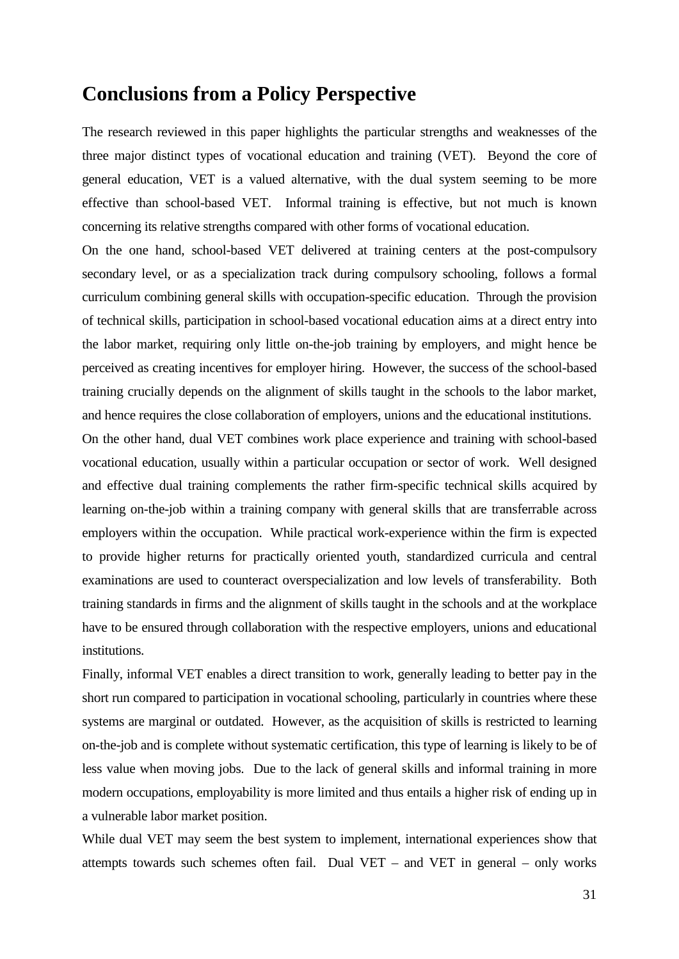### **Conclusions from a Policy Perspective**

The research reviewed in this paper highlights the particular strengths and weaknesses of the three major distinct types of vocational education and training (VET). Beyond the core of general education, VET is a valued alternative, with the dual system seeming to be more effective than school-based VET. Informal training is effective, but not much is known concerning its relative strengths compared with other forms of vocational education.

On the one hand, school-based VET delivered at training centers at the post-compulsory secondary level, or as a specialization track during compulsory schooling, follows a formal curriculum combining general skills with occupation-specific education. Through the provision of technical skills, participation in school-based vocational education aims at a direct entry into the labor market, requiring only little on-the-job training by employers, and might hence be perceived as creating incentives for employer hiring. However, the success of the school-based training crucially depends on the alignment of skills taught in the schools to the labor market, and hence requires the close collaboration of employers, unions and the educational institutions.

On the other hand, dual VET combines work place experience and training with school-based vocational education, usually within a particular occupation or sector of work. Well designed and effective dual training complements the rather firm-specific technical skills acquired by learning on-the-job within a training company with general skills that are transferrable across employers within the occupation. While practical work-experience within the firm is expected to provide higher returns for practically oriented youth, standardized curricula and central examinations are used to counteract overspecialization and low levels of transferability. Both training standards in firms and the alignment of skills taught in the schools and at the workplace have to be ensured through collaboration with the respective employers, unions and educational institutions.

Finally, informal VET enables a direct transition to work, generally leading to better pay in the short run compared to participation in vocational schooling, particularly in countries where these systems are marginal or outdated. However, as the acquisition of skills is restricted to learning on-the-job and is complete without systematic certification, this type of learning is likely to be of less value when moving jobs. Due to the lack of general skills and informal training in more modern occupations, employability is more limited and thus entails a higher risk of ending up in a vulnerable labor market position.

While dual VET may seem the best system to implement, international experiences show that attempts towards such schemes often fail. Dual VET – and VET in general – only works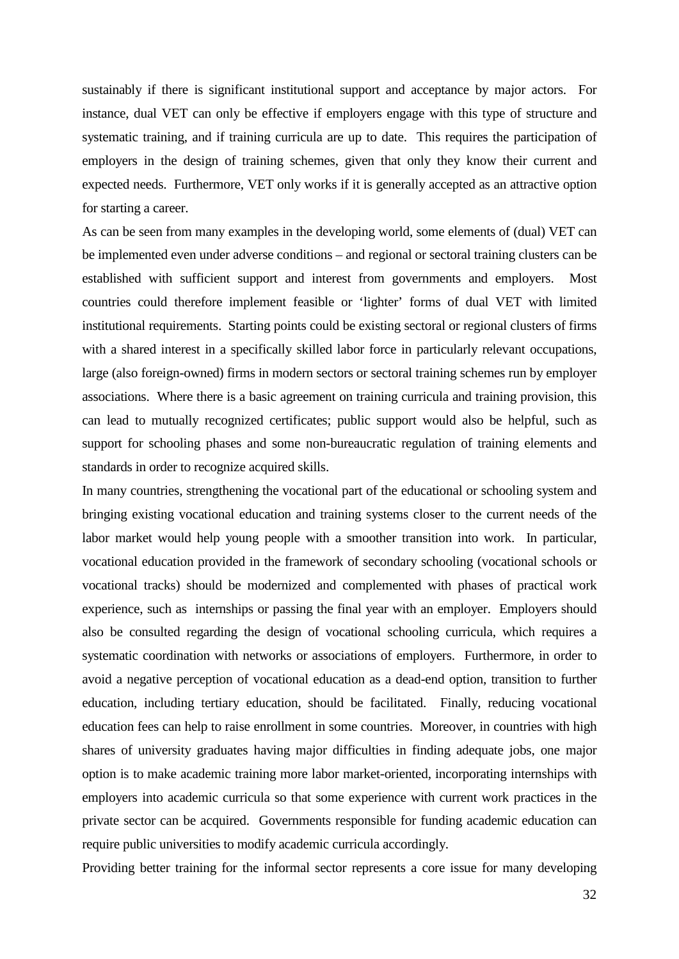sustainably if there is significant institutional support and acceptance by major actors. For instance, dual VET can only be effective if employers engage with this type of structure and systematic training, and if training curricula are up to date. This requires the participation of employers in the design of training schemes, given that only they know their current and expected needs. Furthermore, VET only works if it is generally accepted as an attractive option for starting a career.

As can be seen from many examples in the developing world, some elements of (dual) VET can be implemented even under adverse conditions – and regional or sectoral training clusters can be established with sufficient support and interest from governments and employers. Most countries could therefore implement feasible or 'lighter' forms of dual VET with limited institutional requirements. Starting points could be existing sectoral or regional clusters of firms with a shared interest in a specifically skilled labor force in particularly relevant occupations, large (also foreign-owned) firms in modern sectors or sectoral training schemes run by employer associations. Where there is a basic agreement on training curricula and training provision, this can lead to mutually recognized certificates; public support would also be helpful, such as support for schooling phases and some non-bureaucratic regulation of training elements and standards in order to recognize acquired skills.

In many countries, strengthening the vocational part of the educational or schooling system and bringing existing vocational education and training systems closer to the current needs of the labor market would help young people with a smoother transition into work. In particular, vocational education provided in the framework of secondary schooling (vocational schools or vocational tracks) should be modernized and complemented with phases of practical work experience, such as internships or passing the final year with an employer. Employers should also be consulted regarding the design of vocational schooling curricula, which requires a systematic coordination with networks or associations of employers. Furthermore, in order to avoid a negative perception of vocational education as a dead-end option, transition to further education, including tertiary education, should be facilitated. Finally, reducing vocational education fees can help to raise enrollment in some countries. Moreover, in countries with high shares of university graduates having major difficulties in finding adequate jobs, one major option is to make academic training more labor market-oriented, incorporating internships with employers into academic curricula so that some experience with current work practices in the private sector can be acquired. Governments responsible for funding academic education can require public universities to modify academic curricula accordingly.

Providing better training for the informal sector represents a core issue for many developing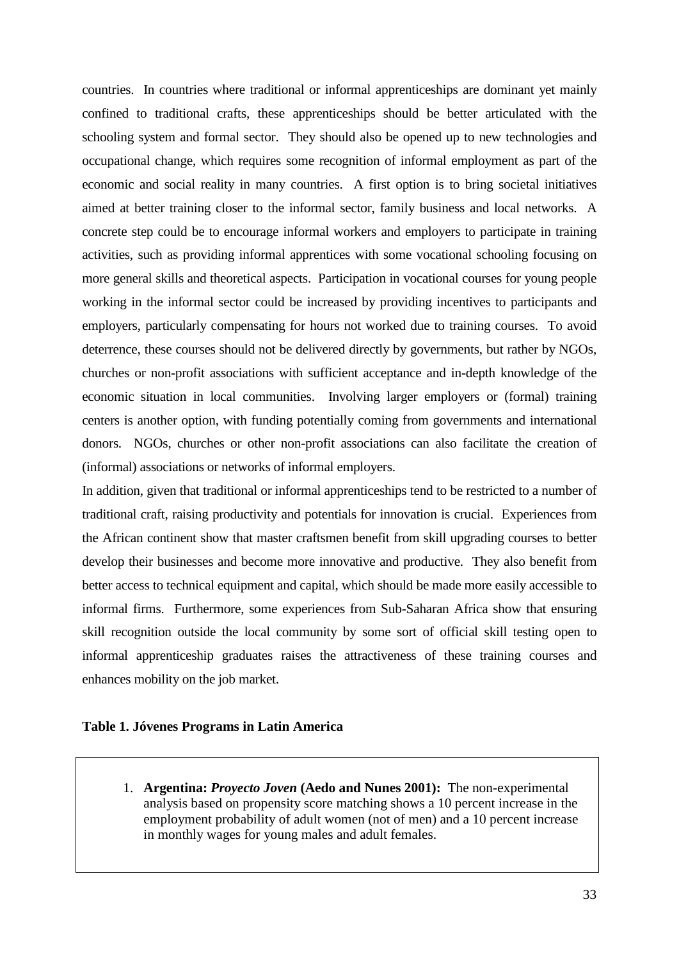countries. In countries where traditional or informal apprenticeships are dominant yet mainly confined to traditional crafts, these apprenticeships should be better articulated with the schooling system and formal sector. They should also be opened up to new technologies and occupational change, which requires some recognition of informal employment as part of the economic and social reality in many countries. A first option is to bring societal initiatives aimed at better training closer to the informal sector, family business and local networks. A concrete step could be to encourage informal workers and employers to participate in training activities, such as providing informal apprentices with some vocational schooling focusing on more general skills and theoretical aspects. Participation in vocational courses for young people working in the informal sector could be increased by providing incentives to participants and employers, particularly compensating for hours not worked due to training courses. To avoid deterrence, these courses should not be delivered directly by governments, but rather by NGOs, churches or non-profit associations with sufficient acceptance and in-depth knowledge of the economic situation in local communities. Involving larger employers or (formal) training centers is another option, with funding potentially coming from governments and international donors. NGOs, churches or other non-profit associations can also facilitate the creation of (informal) associations or networks of informal employers.

In addition, given that traditional or informal apprenticeships tend to be restricted to a number of traditional craft, raising productivity and potentials for innovation is crucial. Experiences from the African continent show that master craftsmen benefit from skill upgrading courses to better develop their businesses and become more innovative and productive. They also benefit from better access to technical equipment and capital, which should be made more easily accessible to informal firms. Furthermore, some experiences from Sub-Saharan Africa show that ensuring skill recognition outside the local community by some sort of official skill testing open to informal apprenticeship graduates raises the attractiveness of these training courses and enhances mobility on the job market.

#### **Table 1. Jóvenes Programs in Latin America**

1. **Argentina:** *Proyecto Joven* **(Aedo and Nunes 2001):** The non-experimental analysis based on propensity score matching shows a 10 percent increase in the employment probability of adult women (not of men) and a 10 percent increase in monthly wages for young males and adult females.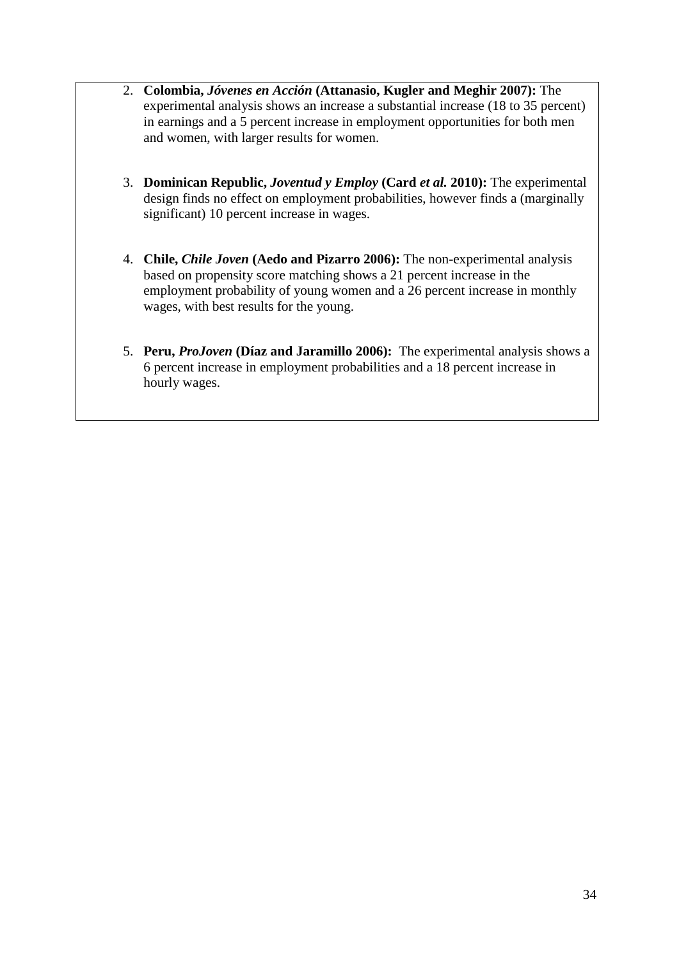- 2. **Colombia,** *Jóvenes en Acción* **(Attanasio, Kugler and Meghir 2007):** The experimental analysis shows an increase a substantial increase (18 to 35 percent) in earnings and a 5 percent increase in employment opportunities for both men and women, with larger results for women.
- 3. **Dominican Republic,** *Joventud y Employ* **(Card** *et al.* **2010):** The experimental design finds no effect on employment probabilities, however finds a (marginally significant) 10 percent increase in wages.
- 4. **Chile,** *Chile Joven* **(Aedo and Pizarro 2006):** The non-experimental analysis based on propensity score matching shows a 21 percent increase in the employment probability of young women and a 26 percent increase in monthly wages, with best results for the young.
- 5. **Peru,** *ProJoven* **(Díaz and Jaramillo 2006):** The experimental analysis shows a 6 percent increase in employment probabilities and a 18 percent increase in hourly wages.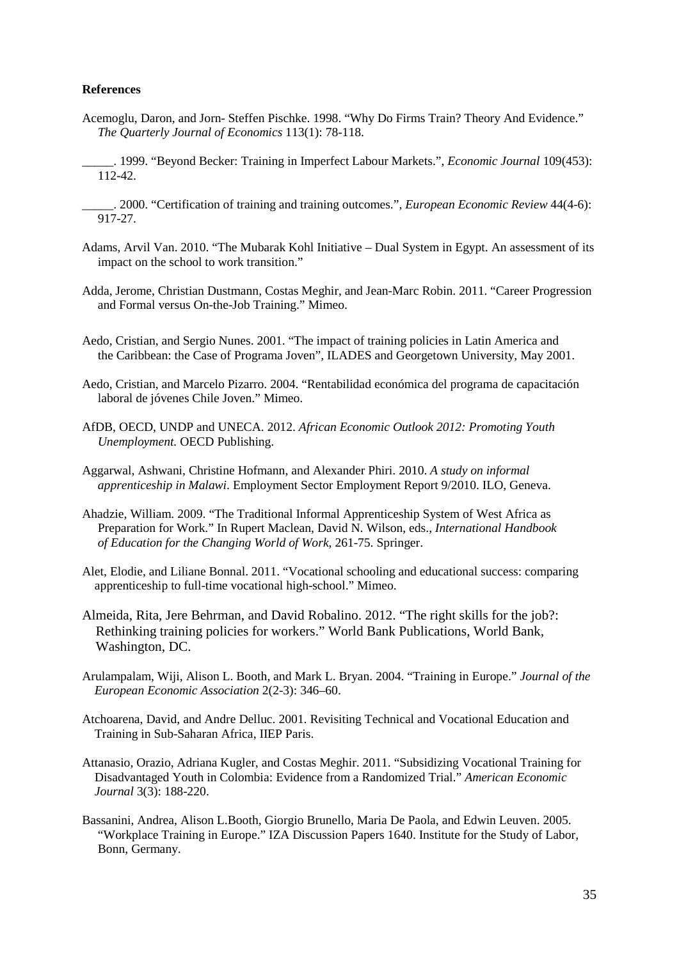#### **References**

- Acemoglu, Daron, and Jorn- Steffen Pischke. 1998. "Why Do Firms Train? Theory And Evidence." *The Quarterly Journal of Economics* 113(1): 78-118.
- \_\_\_\_\_. 1999. "Beyond Becker: Training in Imperfect Labour Markets.", *Economic Journal* 109(453): 112-42.
- \_\_\_\_\_. 2000. "Certification of training and training outcomes.", *European Economic Review* 44(4-6): 917-27.
- Adams, Arvil Van. 2010. "The Mubarak Kohl Initiative Dual System in Egypt. An assessment of its impact on the school to work transition."
- Adda, Jerome, Christian Dustmann, Costas Meghir, and Jean-Marc Robin. 2011. "Career Progression and Formal versus On-the-Job Training." Mimeo.
- Aedo, Cristian, and Sergio Nunes. 2001. "The impact of training policies in Latin America and the Caribbean: the Case of Programa Joven", ILADES and Georgetown University, May 2001.
- Aedo, Cristian, and Marcelo Pizarro. 2004. "Rentabilidad económica del programa de capacitación laboral de jóvenes Chile Joven." Mimeo.
- AfDB, OECD, UNDP and UNECA. 2012. *African Economic Outlook 2012: Promoting Youth Unemployment.* OECD Publishing.
- Aggarwal, Ashwani, Christine Hofmann, and Alexander Phiri. 2010. *A study on informal apprenticeship in Malawi*. Employment Sector Employment Report 9/2010. ILO, Geneva.
- Ahadzie, William. 2009. "The Traditional Informal Apprenticeship System of West Africa as Preparation for Work." In Rupert Maclean, David N. Wilson, eds., *International Handbook of Education for the Changing World of Work*, 261-75. Springer.
- Alet, Elodie, and Liliane Bonnal. 2011. "Vocational schooling and educational success: comparing apprenticeship to full-time vocational high-school." Mimeo.
- Almeida, Rita, Jere Behrman, and David Robalino. 2012. "The right skills for the job?: Rethinking training policies for workers." World Bank Publications, World Bank, Washington, DC.
- Arulampalam, Wiji, Alison L. Booth, and Mark L. Bryan. 2004. "Training in Europe." *Journal of the European Economic Association* 2(2-3): 346–60.
- Atchoarena, David, and Andre Delluc. 2001. Revisiting Technical and Vocational Education and Training in Sub-Saharan Africa, IIEP Paris.
- Attanasio, Orazio, Adriana Kugler, and Costas Meghir. 2011. "Subsidizing Vocational Training for Disadvantaged Youth in Colombia: Evidence from a Randomized Trial." *American Economic Journal* 3(3): 188-220.
- Bassanini, Andrea, Alison L.Booth, Giorgio Brunello, Maria De Paola, and Edwin Leuven. 2005. "Workplace Training in Europe." IZA Discussion Papers 1640. Institute for the Study of Labor, Bonn, Germany.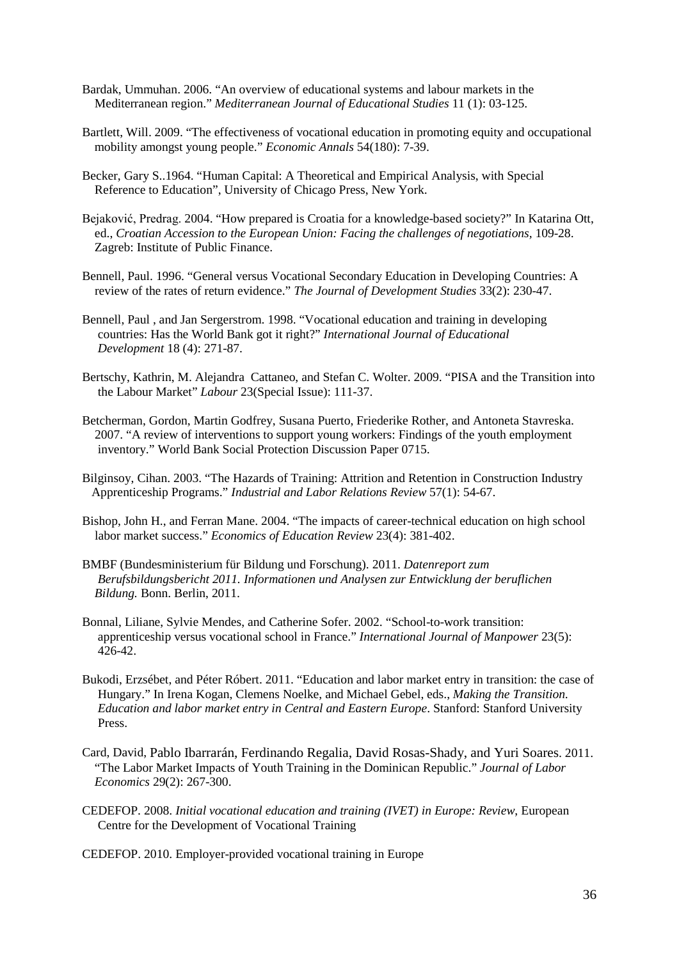- Bardak, Ummuhan. 2006. "An overview of educational systems and labour markets in the Mediterranean region." *Mediterranean Journal of Educational Studies* 11 (1): 03-125.
- Bartlett, Will. 2009. "The effectiveness of vocational education in promoting equity and occupational mobility amongst young people." *Economic Annals* 54(180): 7-39.
- Becker, Gary S..1964. "Human Capital: A Theoretical and Empirical Analysis, with Special Reference to Education", University of Chicago Press, New York.
- Bejaković, Predrag. 2004. "How prepared is Croatia for a knowledge-based society?" In Katarina Ott, ed., *Croatian Accession to the European Union: Facing the challenges of negotiations,* 109-28. Zagreb: Institute of Public Finance.
- Bennell, Paul. 1996. "General versus Vocational Secondary Education in Developing Countries: A review of the rates of return evidence." *The Journal of Development Studies* 33(2): 230-47.
- Bennell, Paul , and Jan Sergerstrom. 1998. "Vocational education and training in developing countries: Has the World Bank got it right?" *International Journal of Educational Development* 18 (4): 271-87.
- Bertschy, Kathrin, M. Alejandra Cattaneo, and Stefan C. Wolter. 2009. "PISA and the Transition into the Labour Market" *Labour* 23(Special Issue): 111-37.
- Betcherman, Gordon, Martin Godfrey, Susana Puerto, Friederike Rother, and Antoneta Stavreska. 2007. "A review of interventions to support young workers: Findings of the youth employment inventory." World Bank Social Protection Discussion Paper 0715.
- Bilginsoy, Cihan. 2003. "The Hazards of Training: Attrition and Retention in Construction Industry Apprenticeship Programs." *Industrial and Labor Relations Review* 57(1): 54-67.
- Bishop, John H., and Ferran Mane. 2004. "The impacts of career-technical education on high school labor market success." *Economics of Education Review* 23(4): 381-402.
- BMBF (Bundesministerium für Bildung und Forschung). 2011. *Datenreport zum Berufsbildungsbericht 2011. Informationen und Analysen zur Entwicklung der beruflichen Bildung.* Bonn. Berlin, 2011.
- Bonnal, Liliane, Sylvie Mendes, and Catherine Sofer. 2002. "School-to-work transition: apprenticeship versus vocational school in France." *International Journal of Manpower* 23(5): 426-42.
- Bukodi, Erzsébet, and Péter Róbert. 2011. "Education and labor market entry in transition: the case of Hungary." In Irena Kogan, Clemens Noelke, and Michael Gebel, eds., *Making the Transition. Education and labor market entry in Central and Eastern Europe*. Stanford: Stanford University Press.
- Card, David, Pablo Ibarrarán, Ferdinando Regalia, David Rosas-Shady, and Yuri Soares. 2011. "The Labor Market Impacts of Youth Training in the Dominican Republic." *Journal of Labor Economics* 29(2): 267-300.
- CEDEFOP. 2008. *Initial vocational education and training (IVET) in Europe: Review*, European Centre for the Development of Vocational Training

CEDEFOP. 2010. Employer-provided vocational training in Europe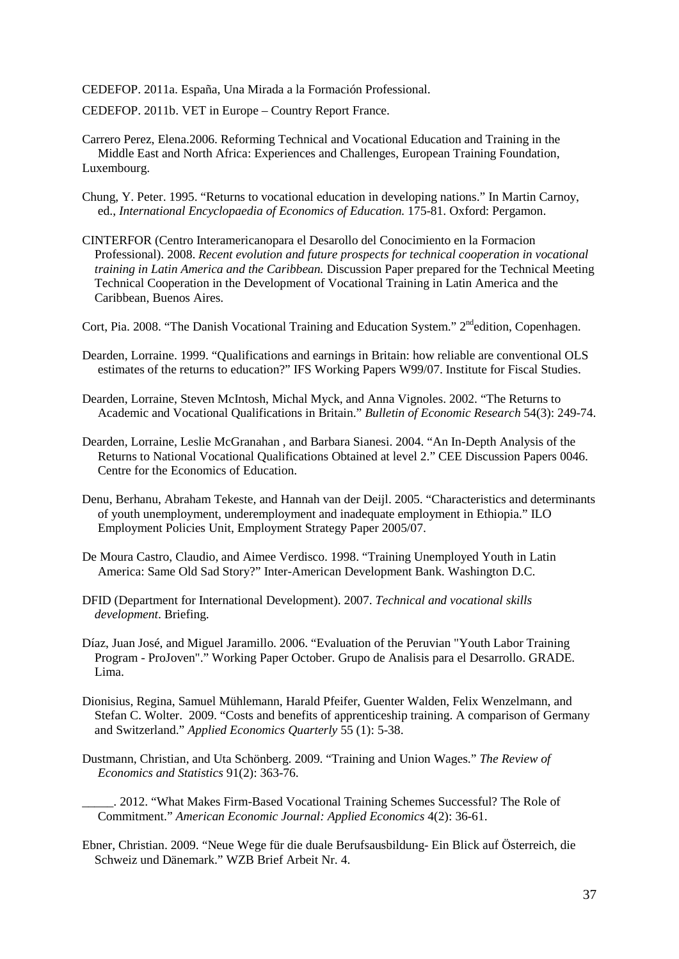CEDEFOP. 2011a. España, Una Mirada a la Formación Professional.

CEDEFOP. 2011b. VET in Europe – Country Report France.

Carrero Perez, Elena.2006. Reforming Technical and Vocational Education and Training in the Middle East and North Africa: Experiences and Challenges, European Training Foundation, Luxembourg.

- Chung, Y. Peter. 1995. "Returns to vocational education in developing nations." In Martin Carnoy, ed., *International Encyclopaedia of Economics of Education.* 175-81. Oxford: Pergamon.
- CINTERFOR (Centro Interamericanopara el Desarollo del Conocimiento en la Formacion Professional). 2008. *Recent evolution and future prospects for technical cooperation in vocational training in Latin America and the Caribbean.* Discussion Paper prepared for the Technical Meeting Technical Cooperation in the Development of Vocational Training in Latin America and the Caribbean, Buenos Aires.
- Cort, Pia. 2008. "The Danish Vocational Training and Education System." 2<sup>nd</sup>edition, Copenhagen.
- Dearden, Lorraine. 1999. "Qualifications and earnings in Britain: how reliable are conventional OLS estimates of the returns to education?" IFS Working Papers W99/07. Institute for Fiscal Studies.
- Dearden, Lorraine, Steven McIntosh, Michal Myck, and Anna Vignoles. 2002. "The Returns to Academic and Vocational Qualifications in Britain." *Bulletin of Economic Research* 54(3): 249-74.
- Dearden, Lorraine, Leslie McGranahan , and Barbara Sianesi. 2004. "An In-Depth Analysis of the Returns to National Vocational Qualifications Obtained at level 2." CEE Discussion Papers 0046. Centre for the Economics of Education.
- Denu, Berhanu, Abraham Tekeste, and Hannah van der Deijl. 2005. "Characteristics and determinants of youth unemployment, underemployment and inadequate employment in Ethiopia." ILO Employment Policies Unit, Employment Strategy Paper 2005/07.
- De Moura Castro, Claudio, and Aimee Verdisco. 1998. "Training Unemployed Youth in Latin America: Same Old Sad Story?" Inter-American Development Bank. Washington D.C.
- DFID (Department for International Development). 2007. *Technical and vocational skills development*. Briefing.
- Díaz, Juan José, and Miguel Jaramillo. 2006. "Evaluation of the Peruvian "Youth Labor Training Program - ProJoven"." Working Paper October. Grupo de Analisis para el Desarrollo. GRADE. Lima.
- Dionisius, Regina, Samuel Mühlemann, Harald Pfeifer, Guenter Walden, Felix Wenzelmann, and Stefan C. Wolter. 2009. "Costs and benefits of apprenticeship training. A comparison of Germany and Switzerland." *Applied Economics Quarterly* 55 (1): 5-38.
- Dustmann, Christian, and Uta Schönberg. 2009. "Training and Union Wages." *The Review of Economics and Statistics* 91(2): 363-76.
	- \_\_\_\_\_. 2012. "What Makes Firm-Based Vocational Training Schemes Successful? The Role of Commitment." *American Economic Journal: Applied Economics* 4(2): 36-61.
- Ebner, Christian. 2009. "Neue Wege für die duale Berufsausbildung- Ein Blick auf Österreich, die Schweiz und Dänemark." WZB Brief Arbeit Nr. 4.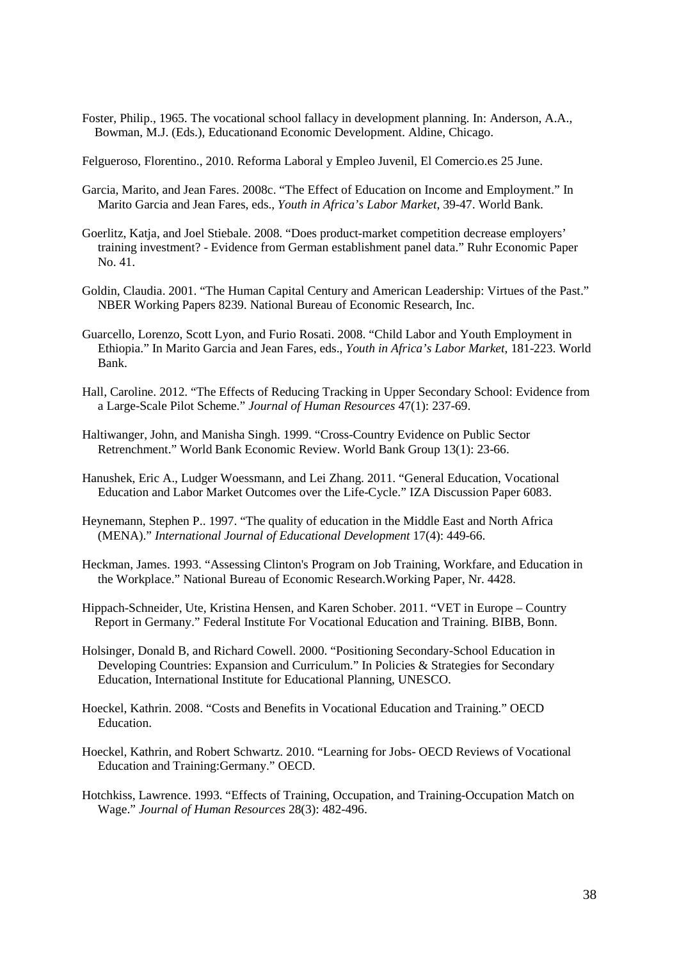Foster, Philip., 1965. The vocational school fallacy in development planning. In: Anderson, A.A., Bowman, M.J. (Eds.), Educationand Economic Development. Aldine, Chicago.

Felgueroso, Florentino., 2010. Reforma Laboral y Empleo Juvenil, El Comercio.es 25 June.

- Garcia, Marito, and Jean Fares. 2008c. "The Effect of Education on Income and Employment." In Marito Garcia and Jean Fares, eds., *Youth in Africa's Labor Market*, 39-47. World Bank.
- Goerlitz, Katja, and Joel Stiebale. 2008. "Does product-market competition decrease employers' training investment? - Evidence from German establishment panel data." Ruhr Economic Paper No. 41.
- Goldin, Claudia. 2001. "The Human Capital Century and American Leadership: Virtues of the Past." NBER Working Papers 8239. National Bureau of Economic Research, Inc.
- Guarcello, Lorenzo, Scott Lyon, and Furio Rosati. 2008. "Child Labor and Youth Employment in Ethiopia." In Marito Garcia and Jean Fares, eds., *Youth in Africa's Labor Market*, 181-223. World Bank.
- Hall, Caroline. 2012. "The Effects of Reducing Tracking in Upper Secondary School: Evidence from a Large-Scale Pilot Scheme." *Journal of Human Resources* 47(1): 237-69.
- Haltiwanger, John, and Manisha Singh. 1999. "Cross-Country Evidence on Public Sector Retrenchment." World Bank Economic Review. World Bank Group 13(1): 23-66.
- Hanushek, Eric A., Ludger Woessmann, and Lei Zhang. 2011. "General Education, Vocational Education and Labor Market Outcomes over the Life-Cycle." IZA Discussion Paper 6083.
- Heynemann, Stephen P.. 1997. "The quality of education in the Middle East and North Africa (MENA)." *International Journal of Educational Development* 17(4): 449-66.
- Heckman, James. 1993. "Assessing Clinton's Program on Job Training, Workfare, and Education in the Workplace." National Bureau of Economic Research.Working Paper, Nr. 4428.
- Hippach-Schneider, Ute, Kristina Hensen, and Karen Schober. 2011. "VET in Europe Country Report in Germany." Federal Institute For Vocational Education and Training. BIBB, Bonn.
- Holsinger, Donald B, and Richard Cowell. 2000. "Positioning Secondary-School Education in Developing Countries: Expansion and Curriculum." In Policies & Strategies for Secondary Education, International Institute for Educational Planning, UNESCO.
- Hoeckel, Kathrin. 2008. "Costs and Benefits in Vocational Education and Training." OECD Education.
- Hoeckel, Kathrin, and Robert Schwartz. 2010. "Learning for Jobs- OECD Reviews of Vocational Education and Training:Germany." OECD.
- Hotchkiss, Lawrence. 1993. "Effects of Training, Occupation, and Training-Occupation Match on Wage." *Journal of Human Resources* 28(3): 482-496.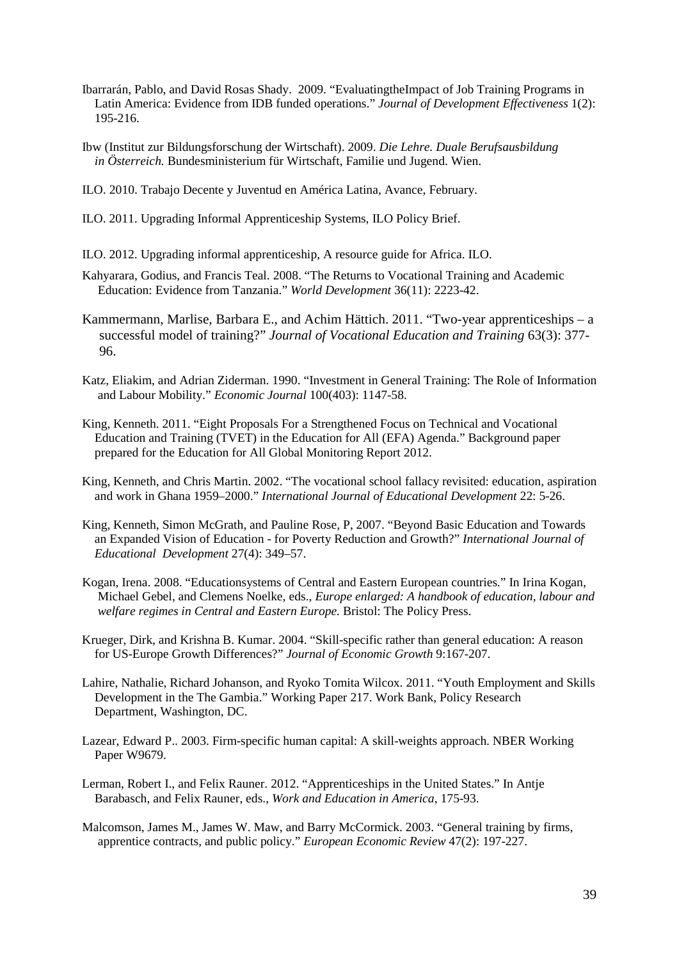- Ibarrarán, Pablo, and David Rosas Shady. 2009. "EvaluatingtheImpact of Job Training Programs in Latin America: Evidence from IDB funded operations." *Journal of Development Effectiveness* 1(2): 195-216.
- Ibw (Institut zur Bildungsforschung der Wirtschaft). 2009. *Die Lehre. Duale Berufsausbildung in Österreich.* Bundesministerium für Wirtschaft, Familie und Jugend. Wien.
- ILO. 2010. Trabajo Decente y Juventud en América Latina, Avance, February.
- ILO. 2011. Upgrading Informal Apprenticeship Systems, ILO Policy Brief.
- ILO. 2012. Upgrading informal apprenticeship, A resource guide for Africa. ILO.
- Kahyarara, Godius, and Francis Teal. 2008. "The Returns to Vocational Training and Academic Education: Evidence from Tanzania." *World Development* 36(11): 2223-42.
- Kammermann, Marlise, Barbara E., and Achim Hättich. 2011. "Two-year apprenticeships a successful model of training?" *Journal of Vocational Education and Training* 63(3): 377- 96.
- Katz, Eliakim, and Adrian Ziderman. 1990. "Investment in General Training: The Role of Information and Labour Mobility." *Economic Journal* 100(403): 1147-58.
- King, Kenneth. 2011. "Eight Proposals For a Strengthened Focus on Technical and Vocational Education and Training (TVET) in the Education for All (EFA) Agenda." Background paper prepared for the Education for All Global Monitoring Report 2012.
- King, Kenneth, and Chris Martin. 2002. "The vocational school fallacy revisited: education, aspiration and work in Ghana 1959–2000." *International Journal of Educational Development* 22: 5-26.
- King, Kenneth, Simon McGrath, and Pauline Rose, P, 2007. "Beyond Basic Education and Towards an Expanded Vision of Education - for Poverty Reduction and Growth?" *[International Journal of](http://www.sciencedirect.com/science/journal/07380593)   [Educational Development](http://www.sciencedirect.com/science/journal/07380593)* [27\(4\)](http://www.sciencedirect.com/science/journal/07380593/27/4): 349–57.
- Kogan, Irena. 2008. "Educationsystems of Central and Eastern European countries." In Irina Kogan, Michael Gebel, and Clemens Noelke, eds., *Europe enlarged: A handbook of education, labour and welfare regimes in Central and Eastern Europe.* Bristol: The Policy Press.
- Krueger, Dirk, and Krishna B. Kumar. 2004. "Skill-specific rather than general education: A reason for US-Europe Growth Differences?" *Journal of Economic Growth* 9:167-207.
- Lahire, Nathalie, Richard Johanson, and Ryoko Tomita Wilcox. 2011. "Youth Employment and Skills Development in the The Gambia." Working Paper 217. Work Bank, Policy Research Department, Washington, DC.
- Lazear, Edward P.. 2003. Firm-specific human capital: A skill-weights approach. NBER Working Paper W9679.
- Lerman, Robert I., and Felix Rauner. 2012. "Apprenticeships in the United States." In Antje Barabasch, and Felix Rauner, eds., *Work and Education in America*, 175-93.
- Malcomson, James M., James W. Maw, and Barry McCormick. 2003. "General training by firms, apprentice contracts, and public policy." *European Economic Review* 47(2): 197-227.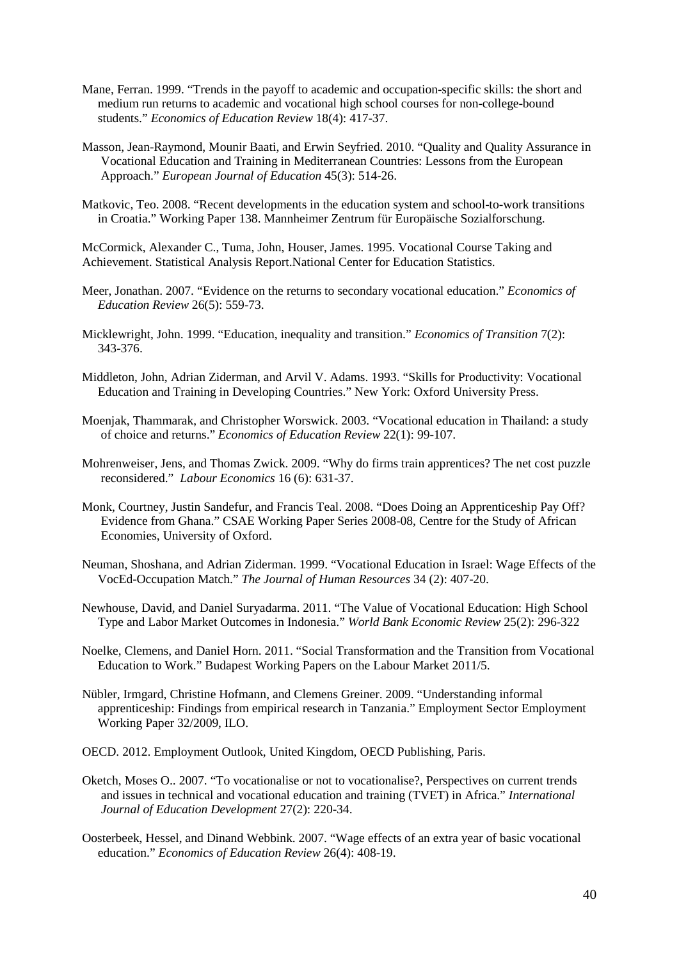- Mane, Ferran. 1999. "Trends in the payoff to academic and occupation-specific skills: the short and medium run returns to academic and vocational high school courses for non-college-bound students." *Economics of Education Review* 18(4): 417-37.
- Masson, Jean-Raymond, Mounir Baati, and Erwin Seyfried. 2010. "Quality and Quality Assurance in Vocational Education and Training in Mediterranean Countries: Lessons from the European Approach." *European Journal of Education* 45(3): 514-26.
- Matkovic, Teo. 2008. "Recent developments in the education system and school-to-work transitions in Croatia." Working Paper 138. Mannheimer Zentrum für Europäische Sozialforschung.

McCormick, Alexander C., Tuma, John, Houser, James. 1995. Vocational Course Taking and Achievement. Statistical Analysis Report.National Center for Education Statistics.

- Meer, Jonathan. 2007. "Evidence on the returns to secondary vocational education." *Economics of Education Review* 26(5): 559-73.
- Micklewright, John. 1999. "Education, inequality and transition." *Economics of Transition* 7(2): 343-376.
- Middleton, John, Adrian Ziderman, and Arvil V. Adams. 1993. "Skills for Productivity: Vocational Education and Training in Developing Countries." New York: Oxford University Press.
- Moenjak, Thammarak, and Christopher Worswick. 2003. "Vocational education in Thailand: a study of choice and returns." *Economics of Education Review* 22(1): 99-107.
- Mohrenweiser, Jens, and Thomas Zwick. 2009. "Why do firms train apprentices? The net cost puzzle reconsidered." *Labour Economics* 16 (6): 631-37.
- Monk, Courtney, Justin Sandefur, and Francis Teal. 2008. "Does Doing an Apprenticeship Pay Off? Evidence from Ghana." CSAE Working Paper Series 2008-08, Centre for the Study of African Economies, University of Oxford.
- Neuman, Shoshana, and Adrian Ziderman. 1999. "Vocational Education in Israel: Wage Effects of the VocEd-Occupation Match." *The Journal of Human Resources* 34 (2): 407-20.
- Newhouse, David, and Daniel Suryadarma. 2011. "The Value of Vocational Education: High School Type and Labor Market Outcomes in Indonesia." *World Bank Economic Review* 25(2): 296-322
- Noelke, Clemens, and Daniel Horn. 2011. "Social Transformation and the Transition from Vocational Education to Work." Budapest Working Papers on the Labour Market 2011/5.
- Nübler, Irmgard, Christine Hofmann, and Clemens Greiner. 2009. "Understanding informal apprenticeship: Findings from empirical research in Tanzania." Employment Sector Employment Working Paper 32/2009, ILO.
- OECD. 2012. Employment Outlook, United Kingdom, OECD Publishing, Paris.
- Oketch, Moses O.. 2007. "To vocationalise or not to vocationalise?, Perspectives on current trends and issues in technical and vocational education and training (TVET) in Africa." *International Journal of Education Development* 27(2): 220-34.
- Oosterbeek, Hessel, and Dinand Webbink. 2007. "Wage effects of an extra year of basic vocational education." *Economics of Education Review* 26(4): 408-19.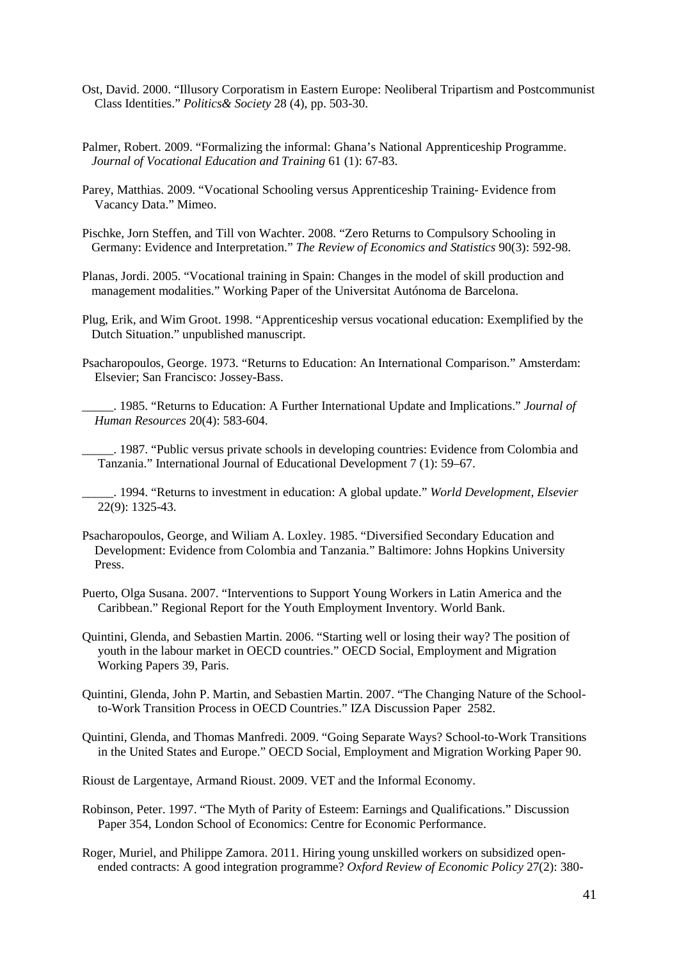- Ost, David. 2000. "Illusory Corporatism in Eastern Europe: Neoliberal Tripartism and Postcommunist Class Identities." *Politics& Society* 28 (4), pp. 503-30.
- Palmer, Robert. 2009. "Formalizing the informal: Ghana's National Apprenticeship Programme.  *Journal of Vocational Education and Training* 61 (1): 67-83.
- Parey, Matthias. 2009. "Vocational Schooling versus Apprenticeship Training- Evidence from Vacancy Data." Mimeo.
- Pischke, Jorn Steffen, and Till von Wachter. 2008. "Zero Returns to Compulsory Schooling in Germany: Evidence and Interpretation." *The Review of Economics and Statistics* 90(3): 592-98.
- Planas, Jordi. 2005. "Vocational training in Spain: Changes in the model of skill production and management modalities." Working Paper of the Universitat Autónoma de Barcelona.
- Plug, Erik, and Wim Groot. 1998. "Apprenticeship versus vocational education: Exemplified by the Dutch Situation." unpublished manuscript.
- Psacharopoulos, George. 1973. "Returns to Education: An International Comparison." Amsterdam: Elsevier; San Francisco: Jossey-Bass.
	- \_\_\_\_\_. 1985. "Returns to Education: A Further International Update and Implications." *Journal of Human Resources* 20(4): 583-604.
	- \_\_\_\_\_. 1987. "Public versus private schools in developing countries: Evidence from Colombia and Tanzania." [International Journal of Educational Development](http://www.sciencedirect.com/science/journal/07380593) [7 \(1\)](http://www.sciencedirect.com/science/journal/07380593/7/1): 59–67.
- \_\_\_\_\_. 1994. "Returns to investment in education: A global update." *World Development, Elsevier* 22(9): 1325-43.
- [Psacharopoulos,](http://www.sciencedirect.com/science/article/pii/0738059387900071) George, and Wiliam A. Loxley. 1985. "Diversified Secondary Education and Development: Evidence from Colombia and Tanzania." Baltimore: Johns Hopkins University Press.
- Puerto, Olga Susana. 2007. "Interventions to Support Young Workers in Latin America and the Caribbean." Regional Report for the Youth Employment Inventory. World Bank.
- Quintini, Glenda, and Sebastien Martin. 2006. "Starting well or losing their way? The position of youth in the labour market in OECD countries." OECD Social, Employment and Migration Working Papers 39, Paris.
- Quintini, Glenda, John P. Martin, and Sebastien Martin. 2007. "The Changing Nature of the School to-Work Transition Process in OECD Countries." IZA Discussion Paper 2582.
- Quintini, Glenda, and Thomas Manfredi. 2009. "Going Separate Ways? School-to-Work Transitions in the United States and Europe." OECD Social, Employment and Migration Working Paper 90.
- Rioust de Largentaye, Armand Rioust. 2009. VET and the Informal Economy.
- Robinson, Peter. 1997. "The Myth of Parity of Esteem: Earnings and Qualifications." Discussion Paper 354, London School of Economics: Centre for Economic Performance.
- Roger, Muriel, and Philippe Zamora. 2011. Hiring young unskilled workers on subsidized open ended contracts: A good integration programme? *Oxford Review of Economic Policy* 27(2): 380-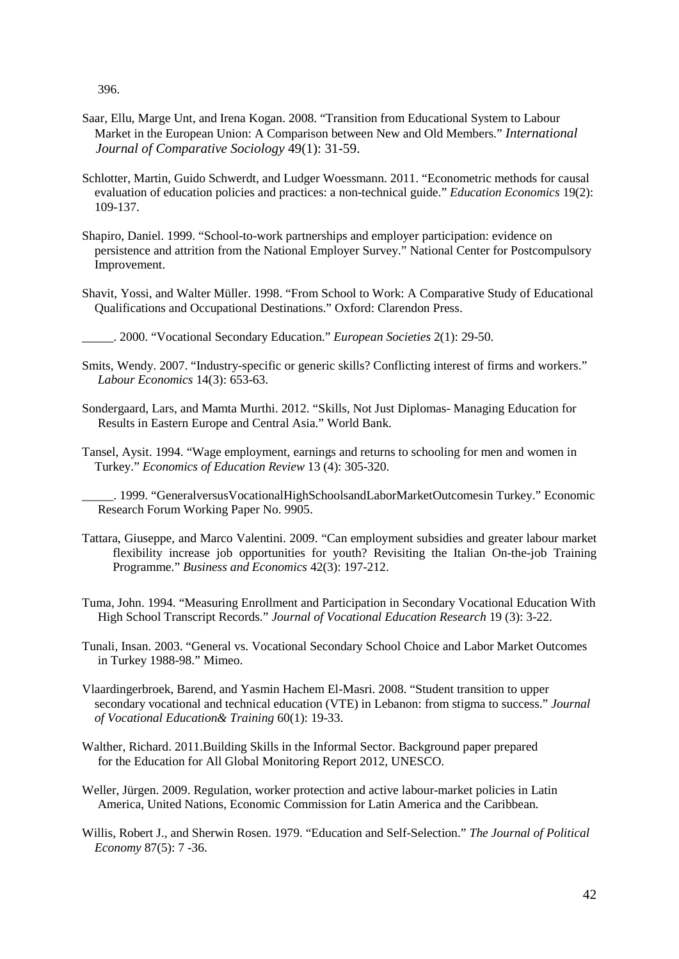396.

- Saar, Ellu, Marge Unt, and Irena Kogan. 2008. "Transition from Educational System to Labour Market in the European Union: A Comparison between New and Old Members." *International Journal of Comparative Sociology* 49(1): 31-59.
- Schlotter, Martin, Guido Schwerdt, and Ludger Woessmann. 2011. "Econometric methods for causal evaluation of education policies and practices: a non-technical guide." *Education Economics* 19(2): 109-137.
- Shapiro, Daniel. 1999. "School-to-work partnerships and employer participation: evidence on persistence and attrition from the National Employer Survey." National Center for Postcompulsory Improvement.
- Shavit, Yossi, and Walter Müller. 1998. "From School to Work: A Comparative Study of Educational Qualifications and Occupational Destinations." Oxford: Clarendon Press.
- \_\_\_\_\_. 2000. "Vocational Secondary Education." *European Societies* 2(1): 29-50.
- Smits, Wendy. 2007. "Industry-specific or generic skills? Conflicting interest of firms and workers." *Labour Economics* 14(3): 653-63.
- Sondergaard, Lars, and Mamta Murthi. 2012. "Skills, Not Just Diplomas- Managing Education for Results in Eastern Europe and Central Asia." World Bank.
- Tansel, Aysit. 1994. "Wage employment, earnings and returns to schooling for men and women in Turkey." *Economics of Education Review* 13 (4): 305-320.
	- \_\_\_\_\_. 1999. "GeneralversusVocationalHighSchoolsandLaborMarketOutcomesin Turkey." Economic Research Forum Working Paper No. 9905.
- Tattara, Giuseppe, and Marco Valentini. 2009. "Can employment subsidies and greater labour market flexibility increase job opportunities for youth? Revisiting the Italian On-the-job Training Programme." *Business and Economics* 42(3): 197-212.
- Tuma, John. 1994. "Measuring Enrollment and Participation in Secondary Vocational Education With High School Transcript Records." *Journal of Vocational Education Research* 19 (3): 3-22.
- Tunali, Insan. 2003. "General vs. Vocational Secondary School Choice and Labor Market Outcomes in Turkey 1988-98." Mimeo.
- Vlaardingerbroek, Barend, and Yasmin Hachem El-Masri. 2008. "Student transition to upper secondary vocational and technical education (VTE) in Lebanon: from stigma to success." *Journal of Vocational Education& Training* 60(1): 19-33.
- Walther, Richard. 2011.Building Skills in the Informal Sector. Background paper prepared for the Education for All Global Monitoring Report 2012, UNESCO.
- Weller, Jürgen. 2009. Regulation, worker protection and active labour-market policies in Latin America, United Nations, Economic Commission for Latin America and the Caribbean.
- Willis, Robert J., and Sherwin Rosen. 1979. "Education and Self-Selection." *The Journal of Political Economy* 87(5): 7 -36.